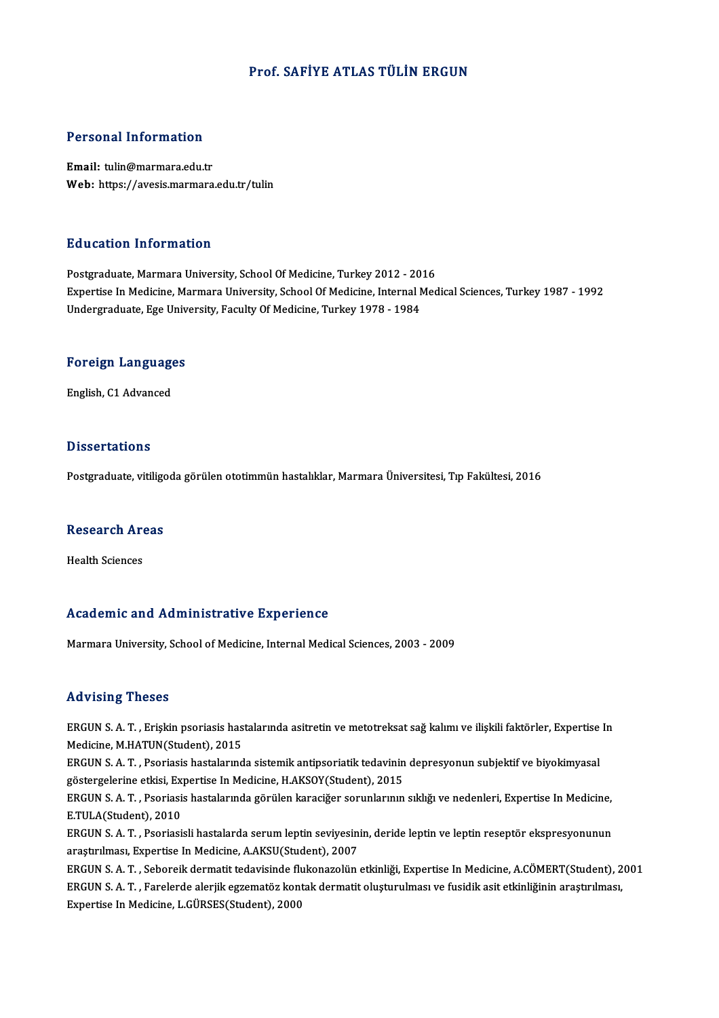#### Prof. SAFİYE ATLAS TÜLİN ERGUN

# Personal Information

Personal Information<br>Email: tulin@marmara.edu.tr<br>Web: https://ayesis.marmara Email: tulin@marmara.edu.tr<br>Web: https://avesis.marmara.edu.tr/tulin

#### Education Information

Postgraduate, Marmara University, School Of Medicine, Turkey 2012 - 2016 Expertise In Medicine, Marmara University, School Of Medicine, Internal Medical Sciences, Turkey 1987 - 1992 Undergraduate, Ege University, Faculty Of Medicine, Turkey 1978 - 1984

## <sub>ondergraduate, ege omv<br>Foreign Languages</sub> <mark>Foreign Languag</mark>e<br>English, C1 Advanced

English, C1 Advanced<br>Dissertations

Postgraduate, vitiligoda görülen ototimmün hastalıklar, Marmara Üniversitesi, Tıp Fakültesi, 2016

## rosigraduate, vitingd<br>Research Areas R<mark>esearch Ar</mark><br>Health Sciences

## Academic and Administrative Experience

Marmara University, School of Medicine, Internal Medical Sciences, 2003 - 2009

#### Advising Theses

Advising Theses<br>ERGUN S. A. T. , Erişkin psoriasis hastalarında asitretin ve metotreksat sağ kalımı ve ilişkili faktörler, Expertise In<br>Medisine M.HATUN(Student), 2015 ERGUN S. A. T., Erişkin psoriasis has<br>Medicine, M.HATUN(Student), 2015<br>ERGUN S. A. T., Psoriasis bastalarınd ERGUN S. A. T. , Erişkin psoriasis hastalarında asitretin ve metotreksat sağ kalımı ve ilişkili faktörler, Expertise<br>Medicine, M.HATUN(Student), 2015<br>ERGUN S. A. T. , Psoriasis hastalarında sistemik antipsoriatik tedavinin Medicine, M.HATUN(Student), 2015<br>ERGUN S. A. T. , Psoriasis hastalarında sistemik antipsoriatik tedavinin depresyonun subjektif ve biyokimyasal

ERGUN S. A. T. , Psoriasis hastalarında sistemik antipsoriatik tedavinin depresyonun subjektif ve biyokimyasal<br>göstergelerine etkisi, Expertise In Medicine, H.AKSOY(Student), 2015<br>ERGUN S. A. T. , Psoriasis hastalarında gö

göstergelerine etkisi, Expertise In Medicine, H.AKSOY(Student), 2015<br>ERGUN S. A. T. , Psoriasis hastalarında görülen karaciğer sorunlarınır<br>E.TULA(Student), 2010 ERGUN S. A. T. , Psoriasis hastalarında görülen karaciğer sorunlarının sıklığı ve nedenleri, Expertise In Medicine,<br>E.TULA(Student), 2010<br>ERGUN S. A. T. , Psoriasisli hastalarda serum leptin seviyesinin, deride leptin ve l

ERGUN S. A. T. , Psoriasisli hastalarda serum leptin seviyesinin, deride leptin ve leptin reseptör ekspresyonunun<br>araştırılması, Expertise In Medicine, A.AKSU(Student), 2007

ERGUNS.A.T. ,Seboreikdermatit tedavisinde flukonazolünetkinliği,Expertise InMedicine,A.CÖMERT(Student),2001 araştırılması, Expertise In Medicine, A.AKSU(Student), 2007<br>ERGUN S. A. T. , Seboreik dermatit tedavisinde flukonazolün etkinliği, Expertise In Medicine, A.CÖMERT(Student), 2<br>ERGUN S. A. T. , Farelerde alerjik egzematöz ko ERGUN S. A. T. , Seboreik dermatit tedavisinde flu<br>ERGUN S. A. T. , Farelerde alerjik egzematöz kont.<br>Expertise In Medicine, L.GÜRSES(Student), 2000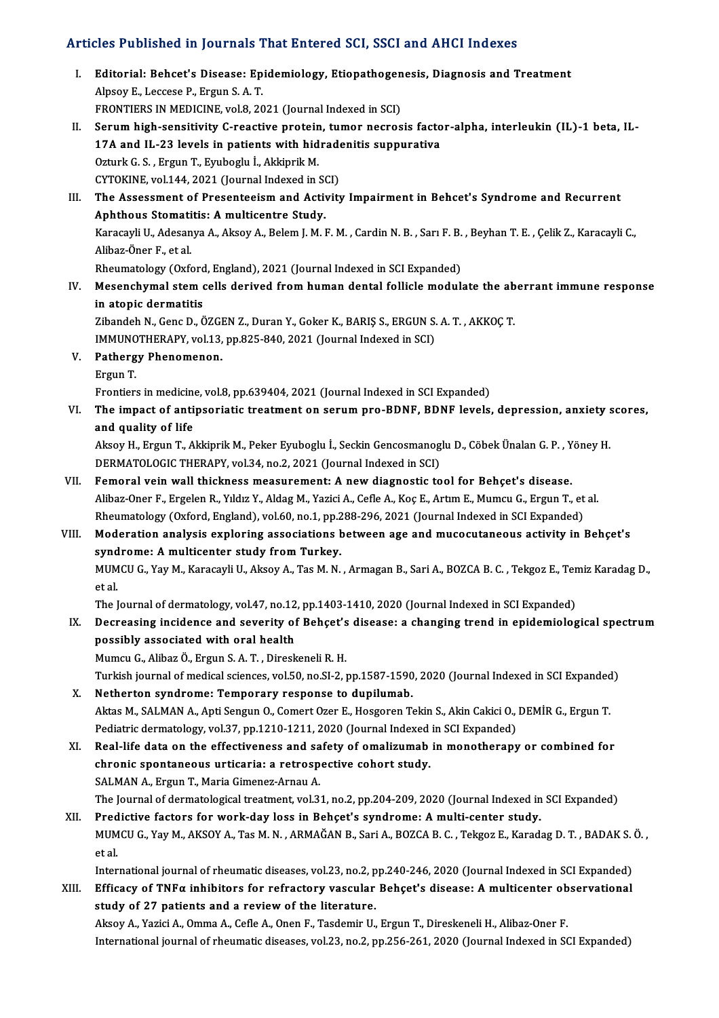### Articles Published in Journals That Entered SCI, SSCI and AHCI Indexes

- rticles Published in Journals That Entered SCI, SSCI and AHCI Indexes<br>I. Editorial: Behcet's Disease: Epidemiology, Etiopathogenesis, Diagnosis and Treatment<br>Alpeeu E. Leessee B. Ergue S.A.T Editorial: Behcet's Disease: Ep<br>Alpsoy E., Leccese P., Ergun S. A. T.<br>EPONTIERS IN MEDICINE vol 9, 20 Alpsoy E., Leccese P., Ergun S. A. T.<br>FRONTIERS IN MEDICINE, vol.8, 2021 (Journal Indexed in SCI)
- II. Serum high-sensitivity C-reactive protein, tumor necrosis factor-alpha, interleukin (IL)-1 beta, IL-FRONTIERS IN MEDICINE, vol.8, 2021 (Journal Indexed in SCI)<br>Serum high-sensitivity C-reactive protein, tumor necrosis facto<br>17A and IL-23 levels in patients with hidradenitis suppurativa<br>Orturk C. S. Fraun T. Eurhoghy L. A Serum high-sensitivity C-reactive protein<br>17A and IL-23 levels in patients with hid<br>Ozturk G.S., Ergun T., Eyuboglu İ., Akkiprik M.<br>CYTOKINE vel 144-2021 (Journal Indoved in S 17A and IL-23 levels in patients with hidrade<br>Ozturk G. S. , Ergun T., Eyuboglu İ., Akkiprik M.<br>CYTOKINE, vol.144, 2021 (Journal Indexed in SCI)<br>The Assessment of Presenteeism and Activity Ozturk G. S. , Ergun T., Eyuboglu İ., Akkiprik M.<br>CYTOKINE, vol.144, 2021 (Journal Indexed in SCI)<br>III. The Assessment of Presenteeism and Activity Impairment in Behcet's Syndrome and Recurrent<br>Anhthous Stematitie: A multi
- CYTOKINE, vol.144, 2021 (Journal Indexed in Store<br>The Assessment of Presenteeism and Activent<br>Aphthous Stomatitis: A multicentre Study.<br>Karasayli II, Adssayla, Alsoy A, Belem I, M.J. The Assessment of Presenteeism and Activity Impairment in Behcet's Syndrome and Recurrent<br>Aphthous Stomatitis: A multicentre Study.<br>Karacayli U., Adesanya A., Aksoy A., Belem J. M. F. M. , Cardin N. B. , Sarı F. B. , Beyha Aphthous Stomatitis: A multicentre Study.<br>Karacayli U., Adesanya A., Aksoy A., Belem J. M. F. M. , Cardin N. B. , Sarı F. B.<br>Alibaz-Öner F., et al.<br>Rheumatology (Oxford, England), 2021 (Journal Indexed in SCI Expanded) Karacayli U., Adesanya A., Aksoy A., Belem J. M. F. M., Cardin N. B., Sarı F. B., Beyhan T. E., Çelik Z., Karacayli C., Alibaz-Öner F., et al.<br>Rheumatology (Oxford, England), 2021 (Journal Indexed in SCI Expanded)<br>IV. Mesenchymal stem cells derived from human dental follicle modulate the aberrant immune response<br>in atonis dermatitis
- Rheumatology (Oxford<br>Mesenchymal stem of<br>in atopic dermatitis<br><sup>7</sup>ibandab N. Cana D. C Mesenchymal stem cells derived from human dental follicle modulate the ab<br>in atopic dermatitis<br>Zibandeh N., Genc D., ÖZGEN Z., Duran Y., Goker K., BARIŞ S., ERGUN S. A. T. , AKKOÇ T.<br>IMMUNOTUERAPY, vol 12, np.925,940,2021

in atopic dermatitis<br>Zibandeh N., Genc D., ÖZGEN Z., Duran Y., Goker K., BARIŞ S., ERGUN S. A. T. , AKKOÇ T. IMMUNOTHERAPY, vol.13, pp.825-840, 2021 (Journal Indexed in SCI)

- V. Pathergy Phenomenon.
	-

Frontiers in medicine, vol.8, pp.639404, 2021 (Journal Indexed in SCI Expanded)

Ergun T.<br>Frontiers in medicine, vol.8, pp.639404, 2021 (Journal Indexed in SCI Expanded)<br>VI. The impact of antipsoriatic treatment on serum pro-BDNF, BDNF levels, depression, anxiety scores,<br>and quality of life Frontiers in medicine<br>The impact of anti<br>and quality of life<br>Alsou H. Exgun T. A The impact of antipsoriatic treatment on serum pro-BDNF, BDNF levels, depression, anxiety s<br>and quality of life<br>Aksoy H., Ergun T., Akkiprik M., Peker Eyuboglu İ., Seckin Gencosmanoglu D., Cöbek Ünalan G. P. , Yöney H.<br>DEP

and quality of life<br>Aksoy H., Ergun T., Akkiprik M., Peker Eyuboglu İ., Seckin Gencosmanog<br>DERMATOLOGIC THERAPY, vol.34, no.2, 2021 (Journal Indexed in SCI)<br>Femeral voin wall thisknoss measurement: A new diagnestis to Aksoy H., Ergun T., Akkiprik M., Peker Eyuboglu İ., Seckin Gencosmanoglu D., Cöbek Ünalan G. P., Y<br>DERMATOLOGIC THERAPY, vol.34, no.2, 2021 (Journal Indexed in SCI)<br>VII. Femoral vein wall thickness measurement: A new diagn

- DERMATOLOGIC THERAPY, vol.34, no.2, 2021 (Journal Indexed in SCI)<br>Femoral vein wall thickness measurement: A new diagnostic tool for Behçet's disease.<br>Alibaz-Oner F., Ergelen R., Yıldız Y., Aldag M., Yazici A., Cefle A., K Femoral vein wall thickness measurement: A new diagnostic tool for Behçet's disease.<br>Alibaz-Oner F., Ergelen R., Yıldız Y., Aldag M., Yazici A., Cefle A., Koç E., Artım E., Mumcu G., Ergun T., et<br>Rheumatology (Oxford, Engl Alibaz-Oner F., Ergelen R., Yıldız Y., Aldag M., Yazici A., Cefle A., Koç E., Artım E., Mumcu G., Ergun T., et al.<br>Rheumatology (Oxford, England), vol.60, no.1, pp.288-296, 2021 (Journal Indexed in SCI Expanded)<br>VIII. Mode
- Rheumatology (Oxford, England), vol.60, no.1, pp.2<br>Moderation analysis exploring associations b<br>syndrome: A multicenter study from Turkey.<br>MUMCU.C. You M. Karagayi: U. Alroy A. Tag M. N. Moderation analysis exploring associations between age and mucocutaneous activity in Behçet's<br>syndrome: A multicenter study from Turkey.<br>MUMCU G., Yay M., Karacayli U., Aksoy A., Tas M. N. , Armagan B., Sari A., BOZCA B. C

synd<br>MUM<br>et al.<br>The I MUMCU G., Yay M., Karacayli U., Aksoy A., Tas M. N. , Armagan B., Sari A., BOZCA B. C. , Tekgoz E., Tere<br>et al.<br>The Journal of dermatology, vol.47, no.12, pp.1403-1410, 2020 (Journal Indexed in SCI Expanded)<br>Despessing ins

et al.<br>IX. Decreasing incidence and severity of Behçet's disease: a changing trend in epidemiological spectrum<br>IX. Decreasing incidence and severity of Behçet's disease: a changing trend in epidemiological spectrum<br>Pessibl The Journal of dermatology, vol.47, no.12, pp.1403-1410, 2020 (Journal Indexed in SCI Expanded)<br>Decreasing incidence and severity of Behçet's disease: a changing trend in epidemiolog<br>possibly associated with oral health<br>Mu Decreasing incidence and severity of Behçet's<br>possibly associated with oral health<br>Mumcu G., Alibaz Ö., Ergun S. A. T. , Direskeneli R. H.<br>Turkish journal of medical sciences, vol 50, no SL 2, 1

Turkish journal of medical sciences, vol.50, no.SI-2, pp.1587-1590, 2020 (Journal Indexed in SCI Expanded)

- X. Netherton syndrome: Temporary response to dupilumab. Turkish journal of medical sciences, vol.50, no.SI-2, pp.1587-1590, 2020 (Journal Indexed in SCI Expanded<br>Netherton syndrome: Temporary response to dupilumab.<br>Aktas M., SALMAN A., Apti Sengun O., Comert Ozer E., Hosgoren T Netherton syndrome: Temporary response to dupilumab.<br>Aktas M., SALMAN A., Apti Sengun O., Comert Ozer E., Hosgoren Tekin S., Akin Cakici O.,<br>Pediatric dermatology, vol.37, pp.1210-1211, 2020 (Journal Indexed in SCI Expande Aktas M., SALMAN A., Apti Sengun O., Comert Ozer E., Hosgoren Tekin S., Akin Cakici O., DEMİR G., Ergun T.<br>Pediatric dermatology, vol.37, pp.1210-1211, 2020 (Journal Indexed in SCI Expanded)<br>XI. Real-life data on the effec
- Pediatric dermatology, vol.37, pp.1210-1211, 2020 (Journal Indexed<br>Real-life data on the effectiveness and safety of omalizumab<br>chronic spontaneous urticaria: a retrospective cohort study.<br>SALMAN A. Ergun T. Maria Cimenaz Real-life data on the effectiveness and sa<br>chronic spontaneous urticaria: a retrosp<br>SALMAN A., Ergun T., Maria Gimenez-Arnau A.<br>The Journal of dermatelegies treatment vol 3. chronic spontaneous urticaria: a retrospective cohort study.<br>SALMAN A., Ergun T., Maria Gimenez-Arnau A.<br>The Journal of dermatological treatment, vol.31, no.2, pp.204-209, 2020 (Journal Indexed in SCI Expanded)<br>Predistive SALMAN A., Ergun T., Maria Gimenez-Arnau A.<br>The Journal of dermatological treatment, vol.31, no.2, pp.204-209, 2020 (Journal Indexed in<br>XII. Predictive factors for work-day loss in Behçet's syndrome: A multi-center study.<br>

The Journal of dermatological treatment, vol.31, no.2, pp.204-209, 2020 (Journal Indexed in SCI Expanded)<br>Predictive factors for work-day loss in Behçet's syndrome: A multi-center study.<br>MUMCU G., Yay M., AKSOY A., Tas M. Pred<br>MUM<br>et al.<br>Inten MUMCU G., Yay M., AKSOY A., Tas M. N. , ARMAĞAN B., Sari A., BOZCA B. C. , Tekgoz E., Karadag D. T. , BADAK S.<br>et al.<br>International journal of rheumatic diseases, vol.23, no.2, pp.240-246, 2020 (Journal Indexed in SCI Expa et al.<br>International journal of rheumatic diseases, vol.23, no.2, pp.240-246, 2020 (Journal Indexed in SCI Expanded)<br>XIII. Efficacy of TNFα inhibitors for refractory vascular Behçet's disease: A multicenter observation

study of 27 patients and a reviewof the literature. AksoyA.,YaziciA.,OmmaA.,CefleA.,OnenF.,TasdemirU.,ErgunT.,DireskeneliH.,Alibaz-Oner F.

International journal of rheumatic diseases, vol.23, no.2, pp.256-261, 2020 (Journal Indexed in SCI Expanded)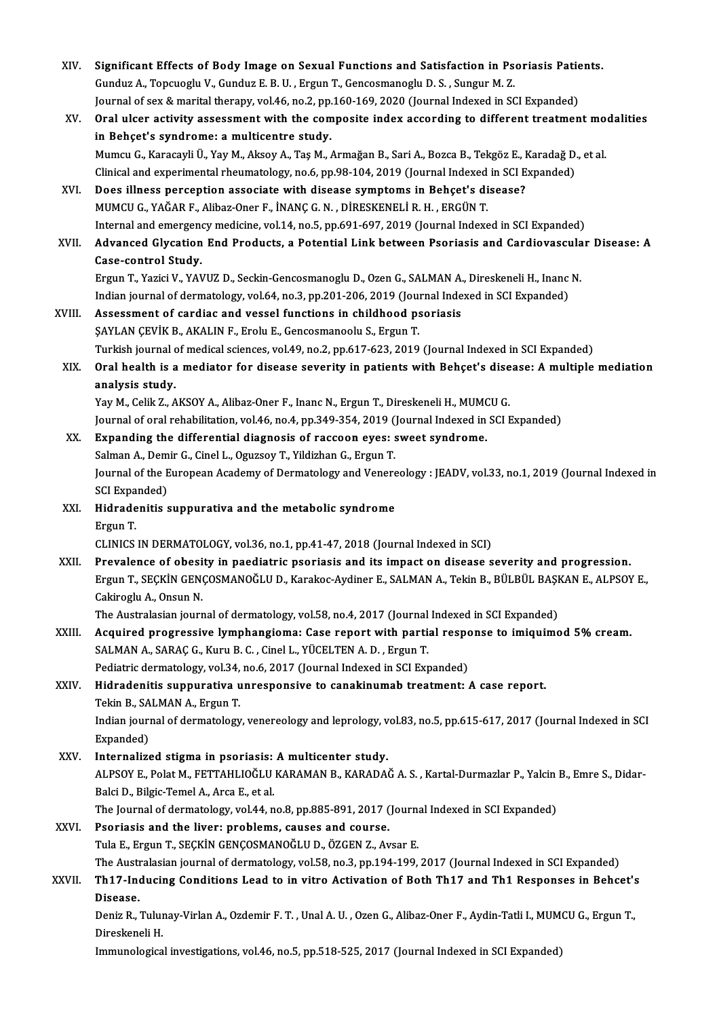| XIV.   | Significant Effects of Body Image on Sexual Functions and Satisfaction in Psoriasis Patients.                        |
|--------|----------------------------------------------------------------------------------------------------------------------|
|        | Gunduz A., Topcuoglu V., Gunduz E. B. U., Ergun T., Gencosmanoglu D. S., Sungur M. Z.                                |
|        | Journal of sex & marital therapy, vol.46, no.2, pp.160-169, 2020 (Journal Indexed in SCI Expanded)                   |
| XV.    | Oral ulcer activity assessment with the composite index according to different treatment modalities                  |
|        | in Behçet's syndrome: a multicentre study.                                                                           |
|        | Mumcu G., Karacayli Ü., Yay M., Aksoy A., Taş M., Armağan B., Sari A., Bozca B., Tekgöz E., Karadağ D., et al.       |
|        | Clinical and experimental rheumatology, no.6, pp.98-104, 2019 (Journal Indexed in SCI Expanded)                      |
| XVI.   | Does illness perception associate with disease symptoms in Behçet's disease?                                         |
|        | MUMCU G., YAĞAR F., Alibaz-Oner F., İNANÇ G. N., DİRESKENELİ R. H., ERGÜN T.                                         |
|        | Internal and emergency medicine, vol.14, no.5, pp.691-697, 2019 (Journal Indexed in SCI Expanded)                    |
| XVII.  | Advanced Glycation End Products, a Potential Link between Psoriasis and Cardiovascular Disease: A                    |
|        | <b>Case-control Study</b> .                                                                                          |
|        | Ergun T., Yazici V., YAVUZ D., Seckin-Gencosmanoglu D., Ozen G., SALMAN A., Direskeneli H., Inanc N.                 |
|        | Indian journal of dermatology, vol.64, no.3, pp.201-206, 2019 (Journal Indexed in SCI Expanded)                      |
| XVIII. | Assessment of cardiac and vessel functions in childhood psoriasis                                                    |
|        | ŞAYLAN ÇEVİK B., AKALIN F., Erolu E., Gencosmanoolu S., Ergun T.                                                     |
|        | Turkish journal of medical sciences, vol.49, no.2, pp.617-623, 2019 (Journal Indexed in SCI Expanded)                |
| XIX.   |                                                                                                                      |
|        | Oral health is a mediator for disease severity in patients with Behçet's disease: A multiple mediation               |
|        | analysis study.<br>Yay M., Celik Z., AKSOY A., Alibaz-Oner F., Inanc N., Ergun T., Direskeneli H., MUMCU G.          |
|        |                                                                                                                      |
|        | Journal of oral rehabilitation, vol.46, no.4, pp.349-354, 2019 (Journal Indexed in SCI Expanded)                     |
| XX.    | Expanding the differential diagnosis of raccoon eyes: sweet syndrome.                                                |
|        | Salman A., Demir G., Cinel L., Oguzsoy T., Yildizhan G., Ergun T.                                                    |
|        | Journal of the European Academy of Dermatology and Venereology : JEADV, vol.33, no.1, 2019 (Journal Indexed in       |
| XXI.   | SCI Expanded)<br>Hidradenitis suppurativa and the metabolic syndrome                                                 |
|        | Ergun T.                                                                                                             |
|        | CLINICS IN DERMATOLOGY, vol.36, no.1, pp.41-47, 2018 (Journal Indexed in SCI)                                        |
| XXII.  | Prevalence of obesity in paediatric psoriasis and its impact on disease severity and progression.                    |
|        | Ergun T., SEÇKİN GENÇOSMANOĞLU D., Karakoc-Aydiner E., SALMAN A., Tekin B., BÜLBÜL BAŞKAN E., ALPSOY E.,             |
|        | Cakiroglu A., Onsun N.                                                                                               |
|        | The Australasian journal of dermatology, vol.58, no.4, 2017 (Journal Indexed in SCI Expanded)                        |
| XXIII. | Acquired progressive lymphangioma: Case report with partial response to imiquimod 5% cream.                          |
|        | SALMAN A., SARAÇ G., Kuru B. C., Cinel L., YÜCELTEN A. D., Ergun T.                                                  |
|        | Pediatric dermatology, vol.34, no.6, 2017 (Journal Indexed in SCI Expanded)                                          |
| XXIV.  | Hidradenitis suppurativa unresponsive to canakinumab treatment: A case report.                                       |
|        | Tekin B., SALMAN A., Ergun T.                                                                                        |
|        | Indian journal of dermatology, venereology and leprology, vol.83, no.5, pp.615-617, 2017 (Journal Indexed in SCI     |
|        | Expanded)                                                                                                            |
| XXV.   | Internalized stigma in psoriasis: A multicenter study.                                                               |
|        |                                                                                                                      |
|        |                                                                                                                      |
|        | ALPSOY E., Polat M., FETTAHLIOĞLU KARAMAN B., KARADAĞ A. S., Kartal-Durmazlar P., Yalcin B., Emre S., Didar-         |
|        | Balci D., Bilgic-Temel A., Arca E., et al.                                                                           |
|        | The Journal of dermatology, vol.44, no.8, pp.885-891, 2017 (Journal Indexed in SCI Expanded)                         |
| XXVI.  | Psoriasis and the liver: problems, causes and course.                                                                |
|        | Tula E., Ergun T., SEÇKİN GENÇOSMANOĞLU D., ÖZGEN Z., Avsar E.                                                       |
|        | The Australasian journal of dermatology, vol.58, no.3, pp.194-199, 2017 (Journal Indexed in SCI Expanded)            |
| XXVII. | Th17-Inducing Conditions Lead to in vitro Activation of Both Th17 and Th1 Responses in Behcet's                      |
|        | Disease.                                                                                                             |
|        | Deniz R., Tulunay-Virlan A., Ozdemir F. T., Unal A. U., Ozen G., Alibaz-Oner F., Aydin-Tatli I., MUMCU G., Ergun T., |
|        | Direskeneli H.<br>Immunological investigations, vol.46, no.5, pp.518-525, 2017 (Journal Indexed in SCI Expanded)     |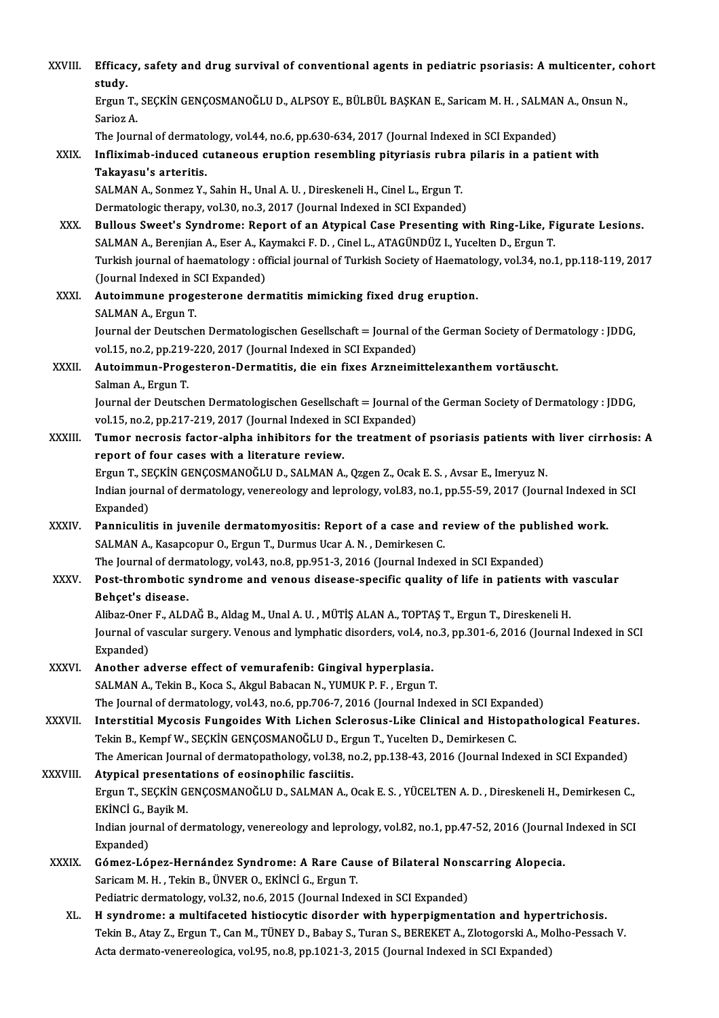| XXVIII.      | Efficacy, safety and drug survival of conventional agents in pediatric psoriasis: A multicenter, cohort<br>study.                                                                                              |
|--------------|----------------------------------------------------------------------------------------------------------------------------------------------------------------------------------------------------------------|
|              | Ergun T., SEÇKİN GENÇOSMANOĞLU D., ALPSOY E., BÜLBÜL BAŞKAN E., Saricam M. H., SALMAN A., Onsun N.,<br>Sarioz A                                                                                                |
|              | The Journal of dermatology, vol.44, no.6, pp.630-634, 2017 (Journal Indexed in SCI Expanded)                                                                                                                   |
| XXIX.        | Infliximab-induced cutaneous eruption resembling pityriasis rubra pilaris in a patient with                                                                                                                    |
|              | Takayasu's arteritis.                                                                                                                                                                                          |
|              | SALMAN A., Sonmez Y., Sahin H., Unal A. U., Direskeneli H., Cinel L., Ergun T.                                                                                                                                 |
|              | Dermatologic therapy, vol.30, no.3, 2017 (Journal Indexed in SCI Expanded)                                                                                                                                     |
| XXX.         | Bullous Sweet's Syndrome: Report of an Atypical Case Presenting with Ring-Like, Figurate Lesions.<br>SALMAN A., Berenjian A., Eser A., Kaymakci F. D., Cinel L., ATAGÜNDÜZ I., Yucelten D., Ergun T.           |
|              | Turkish journal of haematology: official journal of Turkish Society of Haematology, vol.34, no.1, pp.118-119, 2017<br>(Journal Indexed in SCI Expanded)                                                        |
| XXXI.        | Autoimmune progesterone dermatitis mimicking fixed drug eruption.<br>SALMAN A., Ergun T.                                                                                                                       |
|              | Journal der Deutschen Dermatologischen Gesellschaft = Journal of the German Society of Dermatology : JDDG,<br>vol.15, no.2, pp.219-220, 2017 (Journal Indexed in SCI Expanded)                                 |
| XXXII.       | Autoimmun-Progesteron-Dermatitis, die ein fixes Arzneimittelexanthem vortäuscht.                                                                                                                               |
|              | Salman A, Ergun T.                                                                                                                                                                                             |
|              | Journal der Deutschen Dermatologischen Gesellschaft = Journal of the German Society of Dermatology : JDDG,                                                                                                     |
|              | vol.15, no.2, pp.217-219, 2017 (Journal Indexed in SCI Expanded)                                                                                                                                               |
| XXXIII.      | Tumor necrosis factor-alpha inhibitors for the treatment of psoriasis patients with liver cirrhosis: A                                                                                                         |
|              | report of four cases with a literature review.                                                                                                                                                                 |
|              | Ergun T., SEÇKİN GENÇOSMANOĞLU D., SALMAN A., Qzgen Z., Ocak E. S., Avsar E., Imeryuz N.                                                                                                                       |
|              | Indian journal of dermatology, venereology and leprology, vol.83, no.1, pp.55-59, 2017 (Journal Indexed in SCI                                                                                                 |
|              | Expanded)                                                                                                                                                                                                      |
| <b>XXXIV</b> | Panniculitis in juvenile dermatomyositis: Report of a case and review of the published work.                                                                                                                   |
|              | SALMAN A., Kasapcopur O., Ergun T., Durmus Ucar A. N., Demirkesen C.                                                                                                                                           |
|              | The Journal of dermatology, vol.43, no.8, pp.951-3, 2016 (Journal Indexed in SCI Expanded)                                                                                                                     |
| <b>XXXV</b>  | Post-thrombotic syndrome and venous disease-specific quality of life in patients with vascular<br>Behçet's disease.                                                                                            |
|              | Alibaz-Oner F., ALDAĞ B., Aldag M., Unal A. U., MÜTİŞ ALAN A., TOPTAŞ T., Ergun T., Direskeneli H.                                                                                                             |
|              | Journal of vascular surgery. Venous and lymphatic disorders, vol.4, no.3, pp.301-6, 2016 (Journal Indexed in SCI<br>Expanded)                                                                                  |
| XXXVI.       | Another adverse effect of vemurafenib: Gingival hyperplasia.                                                                                                                                                   |
|              | SALMAN A., Tekin B., Koca S., Akgul Babacan N., YUMUK P. F., Ergun T.                                                                                                                                          |
|              | The Journal of dermatology, vol.43, no.6, pp.706-7, 2016 (Journal Indexed in SCI Expanded)                                                                                                                     |
| XXXVII.      | Interstitial Mycosis Fungoides With Lichen Sclerosus-Like Clinical and Histopathological Features.                                                                                                             |
|              | Tekin B., Kempf W., SEÇKİN GENÇOSMANOĞLU D., Ergun T., Yucelten D., Demirkesen C.                                                                                                                              |
|              | The American Journal of dermatopathology, vol.38, no.2, pp.138-43, 2016 (Journal Indexed in SCI Expanded)                                                                                                      |
| XXXVIII.     | Atypical presentations of eosinophilic fasciitis.                                                                                                                                                              |
|              | Ergun T., SEÇKİN GENÇOSMANOĞLU D., SALMAN A., Ocak E. S., YÜCELTEN A. D., Direskeneli H., Demirkesen C.,<br>EKİNCİ G., Bayik M.                                                                                |
|              | Indian journal of dermatology, venereology and leprology, vol.82, no.1, pp.47-52, 2016 (Journal Indexed in SCI<br>Expanded)                                                                                    |
| <b>XXXIX</b> | Gómez-López-Hernández Syndrome: A Rare Cause of Bilateral Nonscarring Alopecia.                                                                                                                                |
|              | Saricam M. H., Tekin B., ÜNVER O., EKİNCİ G., Ergun T.                                                                                                                                                         |
|              | Pediatric dermatology, vol.32, no.6, 2015 (Journal Indexed in SCI Expanded)                                                                                                                                    |
| XL.          | H syndrome: a multifaceted histiocytic disorder with hyperpigmentation and hypertrichosis.                                                                                                                     |
|              | Tekin B., Atay Z., Ergun T., Can M., TÜNEY D., Babay S., Turan S., BEREKET A., Zlotogorski A., Molho-Pessach V.<br>Acta dermato-venereologica, vol.95, no.8, pp.1021-3, 2015 (Journal Indexed in SCI Expanded) |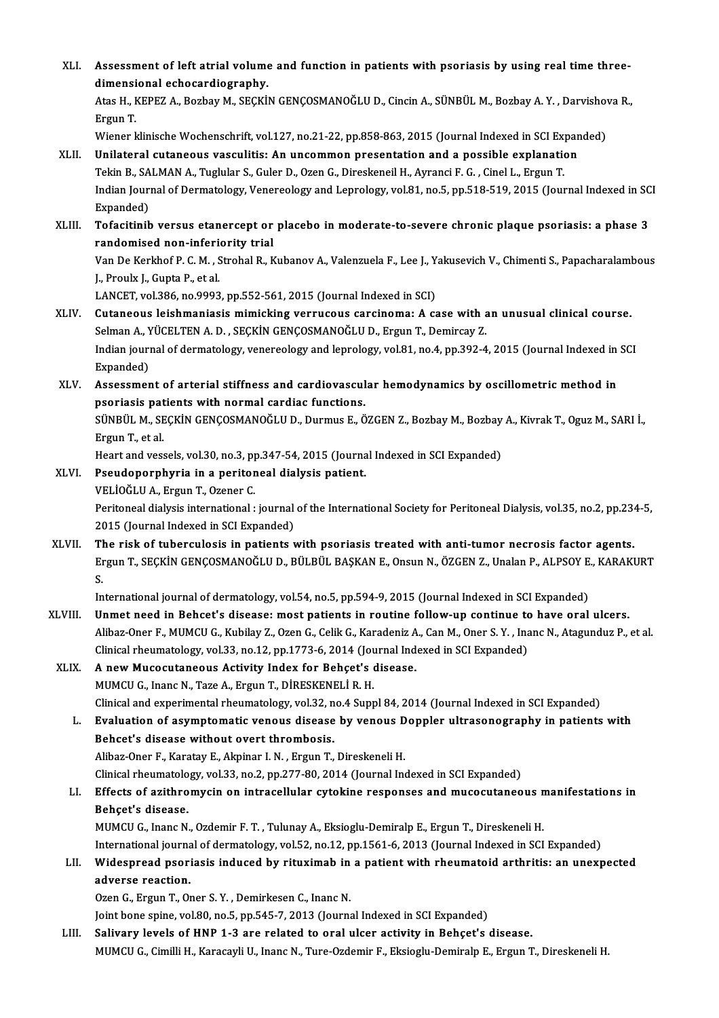XLI. Assessment of left atrial volume and function in patients with psoriasis by using real time three-<br>dimensional schoserdiography Assessment of left atrial volume<br>dimensional echocardiography.<br>Atas H. KEDEZ A. Borbay M. SECKU Assessment of left atrial volume and function in patients with psoriasis by using real time three-<br>dimensional echocardiography.<br>Atas H., KEPEZ A., Bozbay M., SEÇKİN GENÇOSMANOĞLU D., Cincin A., SÜNBÜL M., Bozbay A.Y. , Da di<mark>mensi</mark><br>Atas H., I<br>Ergun T.<br>Wiener l Atas H., KEPEZ A., Bozbay M., SEÇKİN GENÇOSMANOĞLU D., Cincin A., SÜNBÜL M., Bozbay A. Y. , Darvishov<br>Ergun T.<br>Wiener klinische Wochenschrift, vol.127, no.21-22, pp.858-863, 2015 (Journal Indexed in SCI Expanded)<br>Unilatera Ergun T.<br>Wiener klinische Wochenschrift, vol.127, no.21-22, pp.858-863, 2015 (Journal Indexed in SCI Expan<br>XLII. Unilateral cutaneous vasculitis: An uncommon presentation and a possible explanation<br>Tekin B. SALMAN A. Tuglu Wiener klinische Wochenschrift, vol.127, no.21-22, pp.858-863, 2015 (Journal Indexed in SCI Explanation and a possible explanation and a possible explanation B., SALMAN A., Tuglular S., Guler D., Ozen G., Direskeneil H., A Unilateral cutaneous vasculitis: An uncommon presentation and a possible explanation<br>Tekin B., SALMAN A., Tuglular S., Guler D., Ozen G., Direskeneil H., Ayranci F. G., Cinel L., Ergun T.<br>Indian Journal of Dermatology, Ven Tekin B., SALMAN A., Tuglular S., Guler D., Ozen G., Direskeneil H., Ayranci F. G., Cinel L., Ergun T. Indian Journal of Dermatology, Venereology and Leprology, vol.81, no.5, pp.518-519, 2015 (Journal Indexed in SC<br>Expanded)<br>XLIII. Tofacitinib versus etanercept or placebo in moderate-to-severe chronic plaque psoriasis: a ph Expanded)<br>Tofacitinib versus etanercept or<br>randomised non-inferiority trial<br>Van De Karkbof B.C.M., Strabel B. K Tofacitinib versus etanercept or placebo in moderate-to-severe chronic plaque psoriasis: a phase 3<br>randomised non-inferiority trial<br>Van De Kerkhof P. C. M. , Strohal R., Kubanov A., Valenzuela F., Lee J., Yakusevich V., Ch randomised non-inferiority trial<br>Van De Kerkhof P. C. M. , Strohal R., Kubanov A., Valenzuela F., Lee J., Yakusevich V., Chimenti S., Papacharalambous<br>J., Proulx J., Gupta P., et al. LANCET, vol.386, no.9993, pp.552-561, 2015 (Journal Indexed in SCI) J., Proulx J., Gupta P., et al.<br>LANCET, vol.386, no.9993, pp.552-561, 2015 (Journal Indexed in SCI)<br>XLIV. Cutaneous leishmaniasis mimicking verrucous carcinoma: A case with an unusual clinical course.<br>Selman A WÜCELTEN A D LANCET, vol.386, no.9993, pp.552-561, 2015 (Journal Indexed in SCI)<br>Cutaneous leishmaniasis mimicking verrucous carcinoma: A case with a<br>Selman A., YÜCELTEN A. D. , SEÇKİN GENÇOSMANOĞLU D., Ergun T., Demircay Z.<br>Indian jou Indian journal of dermatology, venereology and leprology, vol.81, no.4, pp.392-4, 2015 (Journal Indexed in SCI<br>Expanded) Selman A., YÜCELTEN A. D., SEÇKİN GENÇOSMANOĞLU D., Ergun T., Demircay Z. Indian journal of dermatology, venereology and leprology, vol.81, no.4, pp.392-4, 2015 (Journal Indexed in<br>Expanded)<br>XLV. Assessment of arterial stiffness and cardiovascular hemodynamics by oscillometric method in Expanded)<br>Assessment of arterial stiffness and cardiovascul<br>psoriasis patients with normal cardiac functions.<br>SÜNPÜLM, SECKİN CENCOSMANOČLU D. Durmus E. Ö Assessment of arterial stiffness and cardiovascular hemodynamics by oscillometric method in<br>psoriasis patients with normal cardiac functions.<br>SÜNBÜL M., SEÇKİN GENÇOSMANOĞLU D., Durmus E., ÖZGEN Z., Bozbay M., Bozbay A., K psoriasis patients with normal cardiac functions.<br>SÜNBÜL M., SEÇKİN GENÇOSMANOĞLU D., Durmus E., ÖZGEN Z., Bozbay M., Bozbay A., Kivrak T., Oguz M., SARI İ.,<br>Ergun T., et al. SÜNBÜL M., SEÇKİN GENÇOSMANOĞLU D., Durmus E., ÖZGEN Z., Bozbay M., Bozbay<br>Ergun T., et al.<br>Heart and vessels, vol.30, no.3, pp.347-54, 2015 (Journal Indexed in SCI Expanded)<br>Reaudenornburia in a noritoneal dialysis patien Ergun T., et al.<br>Heart and vessels, vol.30, no.3, pp.347-54, 2015 (Journa<br>XLVI. Pseudoporphyria in a peritoneal dialysis patient.<br>VELIOČLUA, Frgun T. Ozoper C. Heart and vessels, vol.30, no.3, p<br>Pseudoporphyria in a peritor<br>VELİOĞLU A., Ergun T., Ozener C.<br>Peritoneal dialysis international . Pseudoporphyria in a peritoneal dialysis patient.<br>VELİOĞLU A., Ergun T., Ozener C.<br>Peritoneal dialysis international : journal of the International Society for Peritoneal Dialysis, vol.35, no.2, pp.234-5,<br>2015 (Journal Ind VELİOĞLU A., Ergun T., Ozener C.<br>Peritoneal dialysis international : journal<br>2015 (Journal Indexed in SCI Expanded)<br>The rick of tubersulesis in nationts : 2015 (Journal Indexed in SCI Expanded)<br>XLVII. The risk of tuberculosis in patients with psoriasis treated with anti-tumor necrosis factor agents. 2015 (Journal Indexed in SCI Expanded)<br>The risk of tuberculosis in patients with psoriasis treated with anti-tumor necrosis factor agents.<br>Ergun T., SEÇKİN GENÇOSMANOĞLU D., BÜLBÜL BAŞKAN E., Onsun N., ÖZGEN Z., Unalan P., TI<br>Er<br>In Ergun T., SEÇKİN GENÇOSMANOĞLU D., BÜLBÜL BAŞKAN E., Onsun N., ÖZGEN Z., Unalan P., ALPSOY E<br>S.<br>International journal of dermatology, vol.54, no.5, pp.594-9, 2015 (Journal Indexed in SCI Expanded)<br>Unmet nood in Bebest's di S.<br>International journal of dermatology, vol.54, no.5, pp.594-9, 2015 (Journal Indexed in SCI Expanded)<br>XLVIII. Unmet need in Behcet's disease: most patients in routine follow-up continue to have oral ulcers.<br>Aliber Oper E International journal of dermatology, vol.54, no.5, pp.594-9, 2015 (Journal Indexed in SCI Expanded)<br>Unmet need in Behcet's disease: most patients in routine follow-up continue to have oral ulcers.<br>Alibaz-Oner F., MUMCU G. Unmet need in Behcet's disease: most patients in routine follow-up continue to<br>Alibaz-Oner F., MUMCU G., Kubilay Z., Ozen G., Celik G., Karadeniz A., Can M., Oner S. Y., Ina<br>Clinical rheumatology, vol.33, no.12, pp.1773-6, Alibaz-Oner F., MUMCU G., Kubilay Z., Ozen G., Celik G., Karadeniz A<br>Clinical rheumatology, vol.33, no.12, pp.1773-6, 2014 (Journal Ind<br>XLIX. A new Mucocutaneous Activity Index for Behçet's disease. Clinical rheumatology, vol.33, no.12, pp.1773-6, 2014 (Journal Indexed in SCI Expanded)<br>A new Mucocutaneous Activity Index for Behçet's disease.<br>MUMCU G., Inanc N., Taze A., Ergun T., DİRESKENELİ R. H. Clinical and experimental rheumatology, vol.32, no.4 Suppl 84, 2014 (Journal Indexed in SCI Expanded) MUMCU G., Inanc N., Taze A., Ergun T., DİRESKENELİ R. H.<br>Clinical and experimental rheumatology, vol.32, no.4 Suppl 84, 2014 (Journal Indexed in SCI Expanded)<br>L. Evaluation of asymptomatic venous disease by venous Doppler Clinical and experimental rheumatology, vol.32, n<br>Evaluation of asymptomatic venous disease<br>Behcet's disease without overt thrombosis.<br>Alibaz Oper E. Karatay E. Alminar L.N., Ergun T. Evaluation of asymptomatic venous disease by venous D<br>Behcet's disease without overt thrombosis.<br>Alibaz-Oner F., Karatay E., Akpinar I.N. , Ergun T., Direskeneli H.<br>Clinical rhaumatalagy val 32, no 2, np 277, 90, 2014 (Jau Behcet's disease without overt thrombosis.<br>Alibaz-Oner F., Karatay E., Akpinar I. N. , Ergun T., Direskeneli H.<br>Clinical rheumatology, vol.33, no.2, pp.277-80, 2014 (Journal Indexed in SCI Expanded)<br>Effects of exithromygin Alibaz-Oner F., Karatay E., Akpinar I. N. , Ergun T., Direskeneli H.<br>Clinical rheumatology, vol.33, no.2, pp.277-80, 2014 (Journal Indexed in SCI Expanded)<br>LI. Effects of azithromycin on intracellular cytokine responses an Clinical rheumatolo<br>Effects of azithro<br>Behçet's disease.<br>MUMCU C. Inane N Effects of azithromycin on intracellular cytokine responses and mucocutaneous n<br>Behçet's disease.<br>MUMCU G., Inanc N., Ozdemir F.T. , Tulunay A., Eksioglu-Demiralp E., Ergun T., Direskeneli H.<br>International journal of derma Behçet's disease.<br>MUMCU G., Inanc N., Ozdemir F. T. , Tulunay A., Eksioglu-Demiralp E., Ergun T., Direskeneli H.<br>International journal of dermatology, vol.52, no.12, pp.1561-6, 2013 (Journal Indexed in SCI Expanded)<br>Wideen MUMCU G., Inanc N., Ozdemir F. T. , Tulunay A., Eksioglu-Demiralp E., Ergun T., Direskeneli H.<br>International journal of dermatology, vol.52, no.12, pp.1561-6, 2013 (Journal Indexed in SCI Expanded)<br>LII. Widespread psoriasi International journa<br>Widespread psori<br>adverse reaction.<br>Ozen G. Ergun T. Ov Ozen G., Ergun T., Oner S.Y., Demirkesen C., Inanc N. Joint bone spine, vol.80, no.5, pp.545-7, 2013 (Journal Indexed in SCI Expanded) LIII. Salivary levels of HNP 1-3 are related to oral ulcer activity in Behçet's disease. MUMCU G., Cimilli H., Karacayli U., Inanc N., Ture-Ozdemir F., Eksioglu-Demiralp E., Ergun T., Direskeneli H.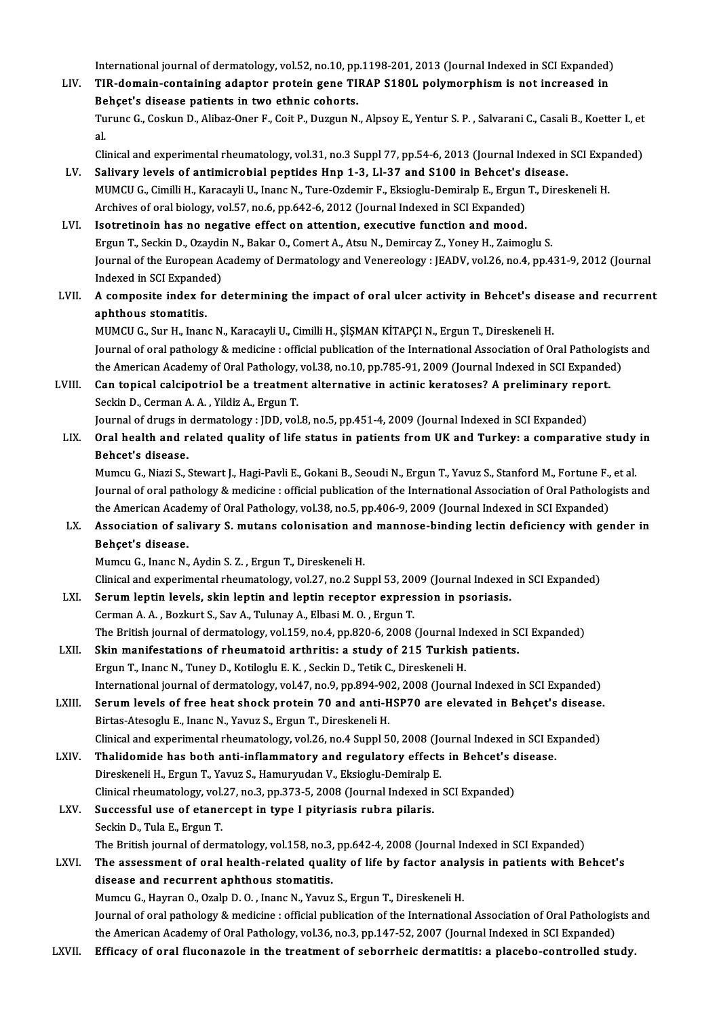International journal of dermatology, vol.52, no.10, pp.1198-201, 2013 (Journal Indexed in SCI Expanded)<br>TIP demain, containing adenter protein gene TIPAP S180L polymernhism is not increased in

International journal of dermatology, vol.52, no.10, pp.1198-201, 2013 (Journal Indexed in SCI Expanded)<br>LIV. TIR-domain-containing adaptor protein gene TIRAP S180L polymorphism is not increased in International journal of dermatology, vol.52, no.10, pp<br>TIR-domain-containing adaptor protein gene TI<br>Behçet's disease patients in two ethnic cohorts.<br>Turune C. Cookun D. Aliber Open E. Coit B. Durgun N. TIR-domain-containing adaptor protein gene TIRAP S180L polymorphism is not increased in<br>Behçet's disease patients in two ethnic cohorts.<br>Turunc G., Coskun D., Alibaz-Oner F., Coit P., Duzgun N., Alpsoy E., Yentur S. P. , S Be<br>Tu<br>al. Turunc G., Coskun D., Alibaz-Oner F., Coit P., Duzgun N., Alpsoy E., Yentur S. P. , Salvarani C., Casali B., Koetter I., et<br>al.<br>Clinical and experimental rheumatology, vol.31, no.3 Suppl 77, pp.54-6, 2013 (Journal Indexed

Clinical and experimental rheumatology, vol.31, no.3 Suppl 77, pp.54-6, 2013 (Journal Indexed in SCI Expanded)

- al.<br>Clinical and experimental rheumatology, vol.31, no.3 Suppl 77, pp.54-6, 2013 (Journal Indexed in SCI Expa<br>LV. Salivary levels of antimicrobial peptides Hnp 1-3, Ll-37 and S100 in Behcet's disease.<br>MUMCU G., Cimilli H., Archives of oral biology, vol.57, no.6, pp.642-6, 2012 (Journal Indexed in SCI Expanded)
- LVI. Isotretinoin has no negative effect on attention, executive function and mood. Archives of oral biology, vol.57, no.6, pp.642-6, 2012 (Journal Indexed in SCI Expanded)<br>Isotretinoin has no negative effect on attention, executive function and mood.<br>Ergun T., Seckin D., Ozaydin N., Bakar O., Comert A., Journal of the European Academy of Dermatology and Venereology : JEADV, vol.26, no.4, pp.431-9, 2012 (Journal<br>Indexed in SCI Expanded) Ergun T., Seckin D., Ozaydi<br>Journal of the European A<br>Indexed in SCI Expanded)<br>A composite index for c Journal of the European Academy of Dermatology and Venereology : JEADV, vol.26, no.4, pp.431-9, 2012 (Journal<br>Indexed in SCI Expanded)<br>LVII. A composite index for determining the impact of oral ulcer activity in Behcet's d
- Indexed in SCI Expande<br>A composite index for<br>aphthous stomatitis.<br>MUMCU C. Sur H. Jaan A composite index for determining the impact of oral ulcer activity in Behcet's dise<br>aphthous stomatitis.<br>MUMCU G., Sur H., Inanc N., Karacayli U., Cimilli H., ŞİŞMAN KİTAPÇI N., Ergun T., Direskeneli H.<br>Journal of oral pa

aphthous stomatitis.<br>MUMCU G., Sur H., Inanc N., Karacayli U., Cimilli H., ŞİŞMAN KİTAPÇI N., Ergun T., Direskeneli H.<br>Journal of oral pathology & medicine : official publication of the International Association of Oral Pa MUMCU G., Sur H., Inanc N., Karacayli U., Cimilli H., ŞİŞMAN KİTAPÇI N., Ergun T., Direskeneli H.<br>Journal of oral pathology & medicine : official publication of the International Association of Oral Pathologist<br>the America Journal of oral pathology & medicine : official publication of the International Association of Oral Patholog<br>the American Academy of Oral Pathology, vol.38, no.10, pp.785-91, 2009 (Journal Indexed in SCI Expander<br>LVIII. C

## the American Academy of Oral Pathology,<br>Can topical calcipotriol be a treatmer<br>Seckin D., Cerman A. A. , Yildiz A., Ergun T.<br>Journal of drugs in dormatology : JDD, yol Can topical calcipotriol be a treatment alternative in actinic keratoses? A preliminary rep<br>Seckin D., Cerman A. A. , Yildiz A., Ergun T.<br>Journal of drugs in dermatology : JDD, vol.8, no.5, pp.451-4, 2009 (Journal Indexed

Journal of drugs in dermatology : JDD, vol.8, no.5, pp.451-4, 2009 (Journal Indexed in SCI Expanded)

Seckin D., Cerman A. A. , Yildiz A., Ergun T.<br>Journal of drugs in dermatology : JDD, vol.8, no.5, pp.451-4, 2009 (Journal Indexed in SCI Expanded)<br>LIX. Oral health and related quality of life status in patients from UK Oral health and related quality of life status in patients from UK and Turkey: a comparative study<br>Behcet's disease.<br>Mumcu G., Niazi S., Stewart J., Hagi-Pavli E., Gokani B., Seoudi N., Ergun T., Yavuz S., Stanford M., For

Journal of oral pathology & medicine : official publication of the International Association of Oral Pathologists and<br>the American Academy of Oral Pathology, vol.38, no.5, pp.406-9, 2009 (Journal Indexed in SCI Expanded) Mumcu G., Niazi S., Stewart J., Hagi-Pavli E., Gokani B., Seoudi N., Ergun T., Yavuz S., Stanford M., Fortune F.,<br>Journal of oral pathology & medicine : official publication of the International Association of Oral Patholo Journal of oral pathology & medicine : official publication of the International Association of Oral Pathologists and<br>the American Academy of Oral Pathology, vol.38, no.5, pp.406-9, 2009 (Journal Indexed in SCI Expanded)<br>L

the American Acade<br>Association of sa<br>Behçet's disease.<br>Mumau C. Inang N Association of salivary S. mutans colonisation an<br>Behçet's disease.<br>Mumcu G., Inanc N., Aydin S. Z. , Ergun T., Direskeneli H.<br>Clinicel and experimental rhoumatelegy vol 27, no 2 Su Behçet's disease.<br>Mumcu G., Inanc N., Aydin S. Z. , Ergun T., Direskeneli H.<br>Clinical and experimental rheumatology, vol.27, no.2 Suppl 53, 2009 (Journal Indexed in SCI Expanded)

- LXI. Serumleptin levels, skin leptin and leptin receptor expression in psoriasis. Cerman A. A., Bozkurt S., Sav A., Tulunay A., Elbasi M. O., Ergun T. Serum leptin levels, skin leptin and leptin receptor expression in psoriasis.<br>Cerman A. A. , Bozkurt S., Sav A., Tulunay A., Elbasi M. O. , Ergun T.<br>The British journal of dermatology, vol.159, no.4, pp.820-6, 2008 (Journa Cerman A. A. , Bozkurt S., Sav A., Tulunay A., Elbasi M. O. , Ergun T.<br>The British journal of dermatology, vol.159, no.4, pp.820-6, 2008 (Journal Indexed in Stations of rheumatoid arthritis: a study of 215 Turkish patients
- The British journal of dermatology, vol.159, no.4, pp.820-6, 2008 (Journal In<br>Skin manifestations of rheumatoid arthritis: a study of 215 Turkish<br>Ergun T., Inanc N., Tuney D., Kotiloglu E. K. , Seckin D., Tetik C., Direske Skin manifestations of rheumatoid arthritis: a study of 215 Turkish patients.<br>Ergun T., Inanc N., Tuney D., Kotiloglu E. K. , Seckin D., Tetik C., Direskeneli H.<br>International journal of dermatology, vol.47, no.9, pp.894-9 Ergun T., Inanc N., Tuney D., Kotiloglu E. K. , Seckin D., Tetik C., Direskeneli H.<br>International journal of dermatology, vol.47, no.9, pp.894-902, 2008 (Journal Indexed in SCI Expanded)<br>LXIII. Serum levels of free heat sh
- Birtas-Atesoglu E., Inanc N., Yavuz S., Ergun T., Direskeneli H. Serum levels of free heat shock protein 70 and anti-HSP70 are elevated in Behçet's disease<br>Birtas-Atesoglu E., Inanc N., Yavuz S., Ergun T., Direskeneli H.<br>Clinical and experimental rheumatology, vol.26, no.4 Suppl 50, 200 Clinical and experimental rheumatology, vol.26, no.4 Suppl 50, 2008 (Journal Indexed in SCI Expanded)<br>LXIV. Thalidomide has both anti-inflammatory and regulatory effects in Behcet's disease.
- Direskeneli H., Ergun T., Yavuz S., Hamuryudan V., Eksioglu-Demiralp E. Clinical rheumatology, vol.27, no.3, pp.373-5, 2008 (Journal Indexed in SCI Expanded) Direskeneli H., Ergun T., Yavuz S., Hamuryudan V., Eksioglu-Demiralp I<br>Clinical rheumatology, vol.27, no.3, pp.373-5, 2008 (Journal Indexed in<br>LXV. Successful use of etanercept in type I pityriasis rubra pilaris.<br>Seekin D.

### Clinical rheumatology, vol.<br>Successful use of etane<br>Seckin D., Tula E., Ergun T.<br>The Pritish journal of dorn Successful use of etanercept in type I pityriasis rubra pilaris.<br>Seckin D., Tula E., Ergun T.<br>The British journal of dermatology, vol.158, no.3, pp.642-4, 2008 (Journal Indexed in SCI Expanded)<br>The assessment of eral healt Seckin D., Tula E., Ergun T.<br>The British journal of dermatology, vol.158, no.3, pp.642-4, 2008 (Journal Indexed in SCI Expanded)<br>LXVI. The assessment of oral health-related quality of life by factor analysis in patients wi

### The British journal of dermatology, vol.158, no.3,<br>The assessment of oral health-related quali<br>disease and recurrent aphthous stomatitis.<br>Mumay C. Hayran Q. Oraln D. Q. Jaana N. Vayya The assessment of oral health-related quality of life by factor analy<br>disease and recurrent aphthous stomatitis.<br>Mumcu G., Hayran O., Ozalp D. O. , Inanc N., Yavuz S., Ergun T., Direskeneli H.<br>Journal of oral nathology & m disease and recurrent aphthous stomatitis.<br>Mumcu G., Hayran O., Ozalp D. O. , Inanc N., Yavuz S., Ergun T., Direskeneli H.<br>Journal of oral pathology & medicine : official publication of the International Association of Ora

the American Academy of Oral Pathology, vol.36, no.3, pp.147-52, 2007 (Journal Indexed in SCI Expanded)

LXVII. Efficacy of oral fluconazole in the treatment of seborrheic dermatitis: a placebo-controlled study.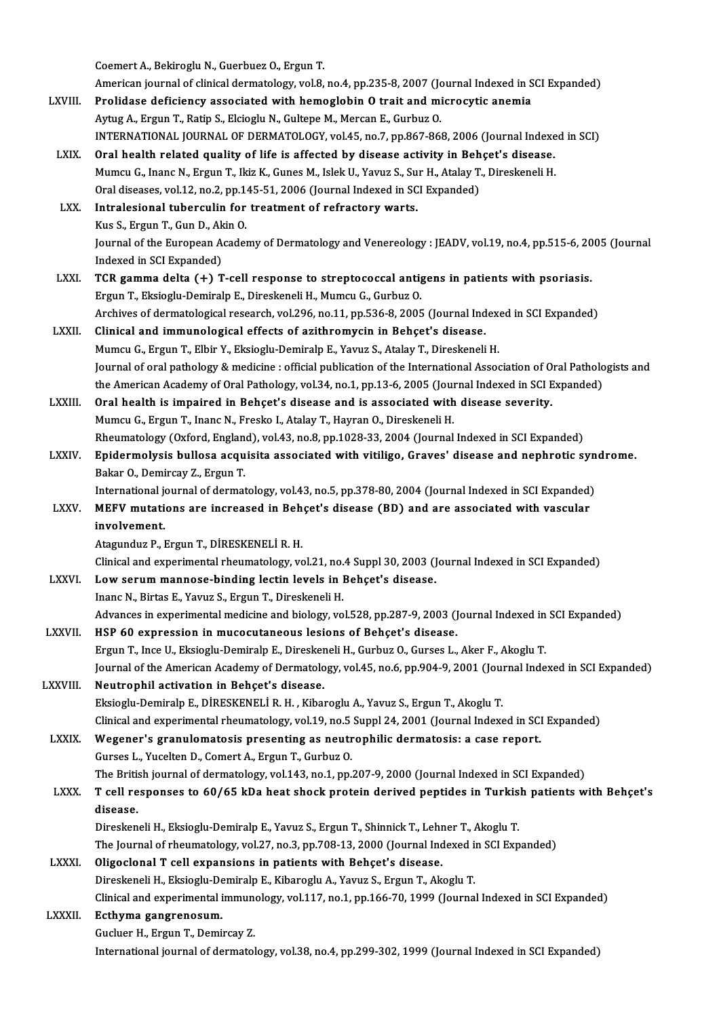Coemert A., Bekiroglu N., Guerbuez O., Ergun T.

Coemert A., Bekiroglu N., Guerbuez O., Ergun T.<br>American journal of clinical dermatology, vol.8, no.4, pp.235-8, 2007 (Journal Indexed in SCI Expanded)<br>Prelidese deficiency esseciated with hemeslebin O treit and microsytic

- Coemert A., Bekiroglu N., Guerbuez O., Ergun T.<br>American journal of clinical dermatology, vol.8, no.4, pp.235-8, 2007 (Journal Indexed in S<br>LXVIII. Prolidase deficiency associated with hemoglobin O trait and microcytic ane Prolidase deficiency associated with hemoglobin 0 trait and microcytic anemia<br>Aytug A., Ergun T., Ratip S., Elcioglu N., Gultepe M., Mercan E., Gurbuz O. INTERNATIONAL JOURNAL OF DERMATOLOGY, vol.45, no.7, pp.867-868, 2006 (Journal Indexed in SCI)
- LXIX. Oral health related quality of life is affected by disease activity in Behçet's disease. INTERNATIONAL JOURNAL OF DERMATOLOGY, vol.45, no.7, pp.867-868, 2006 (Journal Indexe<br>Oral health related quality of life is affected by disease activity in Behçet's disease.<br>Mumcu G., Inanc N., Ergun T., Ikiz K., Gunes M., Oral health related quality of life is affected by disease activity in Beh<br>Mumcu G., Inanc N., Ergun T., Ikiz K., Gunes M., Islek U., Yavuz S., Sur H., Atalay T.<br>Oral diseases, vol.12, no.2, pp.145-51, 2006 (Journal Indexe Mumcu G., Inanc N., Ergun T., Ikiz K., Gunes M., Islek U., Yavuz S., Su<br>Oral diseases, vol.12, no.2, pp.145-51, 2006 (Journal Indexed in SC<br>LXX. Intralesional tuberculin for treatment of refractory warts.
- Oral diseases, vol.12, no.2, pp.145-51, 2006 (Journal Indexed in SCI Expanded)<br>Intralesional tuberculin for treatment of refractory warts.<br>Kus S., Ergun T., Gun D., Akin O. I<mark>ntralesional tuberculin for treatment of refractory warts.</mark><br>Kus S., Ergun T., Gun D., Akin O.<br>Journal of the European Academy of Dermatology and Venereology : JEADV, vol.19, no.4, pp.515-6, 2005 (Journal<br>Indeved in SCI E Kus S., Ergun T., Gun D., Ak<br>Journal of the European A<br>Indexed in SCI Expanded)<br>TCP gamma dalta (+) T Journal of the European Academy of Dermatology and Venereology : JEADV, vol.19, no.4, pp.515-6, 20<br>Indexed in SCI Expanded)<br>LXXI. TCR gamma delta (+) T-cell response to streptococcal antigens in patients with psoriasis.
- Indexed in SCI Expanded)<br>TCR gamma delta (+) T-cell response to streptococcal antigens in patients with psoriasis.<br>Ergun T., Eksioglu-Demiralp E., Direskeneli H., Mumcu G., Gurbuz O. TCR gamma delta (+) T-cell response to streptococcal antigens in patients with psoriasis.<br>Ergun T., Eksioglu-Demiralp E., Direskeneli H., Mumcu G., Gurbuz O.<br>Archives of dermatological research, vol.296, no.11, pp.536-8, 2
- LXXII. Clinical and immunological effects of azithromycin in Behçet's disease.<br>Mumcu G., Ergun T., Elbir Y., Eksioglu-Demiralp E., Yavuz S., Atalay T., Direskeneli H. Archives of dermatological research, vol.296, no.11, pp.536-8, 2005 (Journal Index<br>Clinical and immunological effects of azithromycin in Behçet's disease.<br>Mumcu G., Ergun T., Elbir Y., Eksioglu-Demiralp E., Yavuz S., Atala Journal of oral pathology & medicine : official publication of the International Association of Oral Pathologists and Mumcu G., Ergun T., Elbir Y., Eksioglu-Demiralp E., Yavuz S., Atalay T., Direskeneli H.<br>Journal of oral pathology & medicine : official publication of the International Association of Oral Patholo<br>the American Academy of O Journal of oral pathology & medicine : official publication of the International Association of 0<br>the American Academy of Oral Pathology, vol.34, no.1, pp.13-6, 2005 (Journal Indexed in SCI E<br>LXXIII. Oral health is impaire

the American Academy of Oral Pathology, vol.34, no.1, pp.13-6, 2005 (Journal Coral health is impaired in Behçet's disease and is associated with Mumcu G., Ergun T., Inanc N., Fresko I., Atalay T., Hayran O., Direskeneli H. Oral health is impaired in Behçet's disease and is associated with disease severity.<br>Mumcu G., Ergun T., Inanc N., Fresko I., Atalay T., Hayran O., Direskeneli H.<br>Rheumatology (Oxford, England), vol.43, no.8, pp.1028-33, 2 Mumcu G., Ergun T., Inanc N., Fresko I., Atalay T., Hayran O., Direskeneli H.<br>Rheumatology (Oxford, England), vol.43, no.8, pp.1028-33, 2004 (Journal Indexed in SCI Expanded)<br>LXXIV. Epidermolysis bullosa acquisita associat

Rheumatology (Oxford, Englan<br><mark>Epidermolysis bullosa acqu</mark><br>Bakar O., Demircay Z., Ergun T.<br>International iournal of dermat Epidermolysis bullosa acquisita associated with vitiligo, Graves' disease and nephrotic syn<br>Bakar 0., Demircay Z., Ergun T.<br>International journal of dermatology, vol.43, no.5, pp.378-80, 2004 (Journal Indexed in SCI Expand

Bakar O., Demircay Z., Ergun T.<br>International journal of dermatology, vol.43, no.5, pp.378-80, 2004 (Journal Indexed in SCI Expanded)<br>LXXV. MEFV mutations are increased in Behçet's disease (BD) and are associated with vasc International journal of dermatology, vol.43, no.5, pp.378-80, 2004 (Journal Indexed in SCI Expanded)<br>MEFV mutations are increased in Behçet's disease (BD) and are associated with vascular<br>involvement.<br>Atagunduz P., Ergun MEFV mutations are increased in Beh<br>involvement.<br>Atagunduz P., Ergun T., DİRESKENELİ R. H.<br>Clinical and experimental rhoumatelogu ve involvement.<br>Atagunduz P., Ergun T., DİRESKENELİ R. H.<br>Clinical and experimental rheumatology, vol.21, no.4 Suppl 30, 2003 (Journal Indexed in SCI Expanded)<br>Low senum mannesse binding lestin levels in Bebest's disease.

Atagunduz P., Ergun T., DİRESKENELİ R. H.<br>Clinical and experimental rheumatology, vol.21, no.4 Suppl 30, 2003 (J<br>LXXVI. Low serum mannose-binding lectin levels in Behçet's disease. Clinical and experimental rheumatology, vol.21, no.<br>Low serum mannose-binding lectin levels in l<br>Inanc N., Birtas E., Yavuz S., Ergun T., Direskeneli H.<br>Advances in evnerimental medicine and biology vo

Low serum mannose-binding lectin levels in Behçet's disease.<br>Inanc N., Birtas E., Yavuz S., Ergun T., Direskeneli H.<br>Advances in experimental medicine and biology, vol.528, pp.287-9, 2003 (Journal Indexed in SCI Expanded)<br>

- Inanc N., Birtas E., Yavuz S., Ergun T., Direskeneli H.<br>Advances in experimental medicine and biology, vol.528, pp.287-9, 2003 (Journal Indexed in<br>LXXVII. HSP 60 expression in mucocutaneous lesions of Behçet's disease.<br>Erg Advances in experimental medicine and biology, vol.528, pp.287-9, 2003 (Journal Indexed in<br>HSP 60 expression in mucocutaneous lesions of Behçet's disease.<br>Ergun T., Ince U., Eksioglu-Demiralp E., Direskeneli H., Gurbuz O., HSP 60 expression in mucocutaneous lesions of Behçet's disease.<br>Ergun T., Ince U., Eksioglu-Demiralp E., Direskeneli H., Gurbuz O., Gurses L., Aker F., Akoglu T.<br>Journal of the American Academy of Dermatology, vol.45, no.6 Ergun T., Ince U., Eksioglu-Demiralp E., Diresker<br>Journal of the American Academy of Dermatolo<br>LXXVIII. Neutrophil activation in Behçet's disease.<br>Elisiogly Demiralp E. DiRESKENELLE H. Kiber
- Journal of the American Academy of Dermatology, vol.45, no.6, pp.904-9, 2001 (Jou:<br>Neutrophil activation in Behçet's disease.<br>Eksioglu-Demiralp E., DİRESKENELİ R. H. , Kibaroglu A., Yavuz S., Ergun T., Akoglu T.<br>Clinical a Neutrophil activation in Behçet's disease.<br>Eksioglu-Demiralp E., DİRESKENELİ R. H. , Kibaroglu A., Yavuz S., Ergun T., Akoglu T.<br>Clinical and experimental rheumatology, vol.19, no.5 Suppl 24, 2001 (Journal Indexed in SCI E Eksioglu-Demiralp E., DİRESKENELİ R. H. , Kibaroglu A., Yavuz S., Ergun T., Akoglu T.<br>Clinical and experimental rheumatology, vol.19, no.5 Suppl 24, 2001 (Journal Indexed in SCI<br>LXXIX. Wegener's granulomatosis presenting a

Clinical and experimental rheumatology, vol.19, no.5<br>Wegener's granulomatosis presenting as neutr<br>Gurses L., Yucelten D., Comert A., Ergun T., Gurbuz O.<br>The Pritish journal of dermatology, vol.143, no.1, np. Wegener's granulomatosis presenting as neutrophilic dermatosis: a case report.<br>Gurses L., Yucelten D., Comert A., Ergun T., Gurbuz O.<br>The British journal of dermatology, vol.143, no.1, pp.207-9, 2000 (Journal Indexed in SC Gurses L., Yucelten D., Comert A., Ergun T., Gurbuz O.<br>The British journal of dermatology, vol.143, no.1, pp.207-9, 2000 (Journal Indexed in SCI Expanded)<br>LXXX. T cell responses to 60/65 kDa heat shock protein derived pept

## The Britis<br>T cell re<br>disease.<br><sup>Direcken</sup> T cell responses to 60/65 kDa heat shock protein derived peptides in Turkis<br>disease.<br>Direskeneli H., Eksioglu-Demiralp E., Yavuz S., Ergun T., Shinnick T., Lehner T., Akoglu T.<br>The Journal of rhoumatelegy vol.27, no.2, np.

disease.<br>Direskeneli H., Eksioglu-Demiralp E., Yavuz S., Ergun T., Shinnick T., Lehner T., Akoglu T.<br>The Journal of rheumatology, vol.27, no.3, pp.708-13, 2000 (Journal Indexed in SCI Expanded)<br>Oligaelanal T. cell expansio Direskeneli H., Eksioglu-Demiralp E., Yavuz S., Ergun T., Shinnick T., Lehner T., Akoglu T.<br>The Journal of rheumatology, vol.27, no.3, pp.708-13, 2000 (Journal Indexed in SCI Exp<br>LXXXI. Oligoclonal T cell expansions in pat

### The Journal of rheumatology, vol.27, no.3, pp.708-13, 2000 (Journal Indexed is<br>Oligoclonal T cell expansions in patients with Behçet's disease.<br>Direskeneli H., Eksioglu-Demiralp E., Kibaroglu A., Yavuz S., Ergun T., Akoglu Oligoclonal T cell expansions in patients with Behçet's disease.<br>Direskeneli H., Eksioglu-Demiralp E., Kibaroglu A., Yavuz S., Ergun T., Akoglu T.<br>Clinical and experimental immunology, vol.117, no.1, pp.166-70, 1999 (Journ Direskeneli H., Eksioglu-De<br>Clinical and experimental i<br>LXXXII. Ecthyma gangrenosum.

Clinical and experimental immune<br>Ecthyma gangrenosum.<br>Gucluer H., Ergun T., Demircay Z.<br>International iournal of dermatal Ecthyma gangrenosum.<br>Gucluer H., Ergun T., Demircay Z.<br>International journal of dermatology, vol.38, no.4, pp.299-302, 1999 (Journal Indexed in SCI Expanded)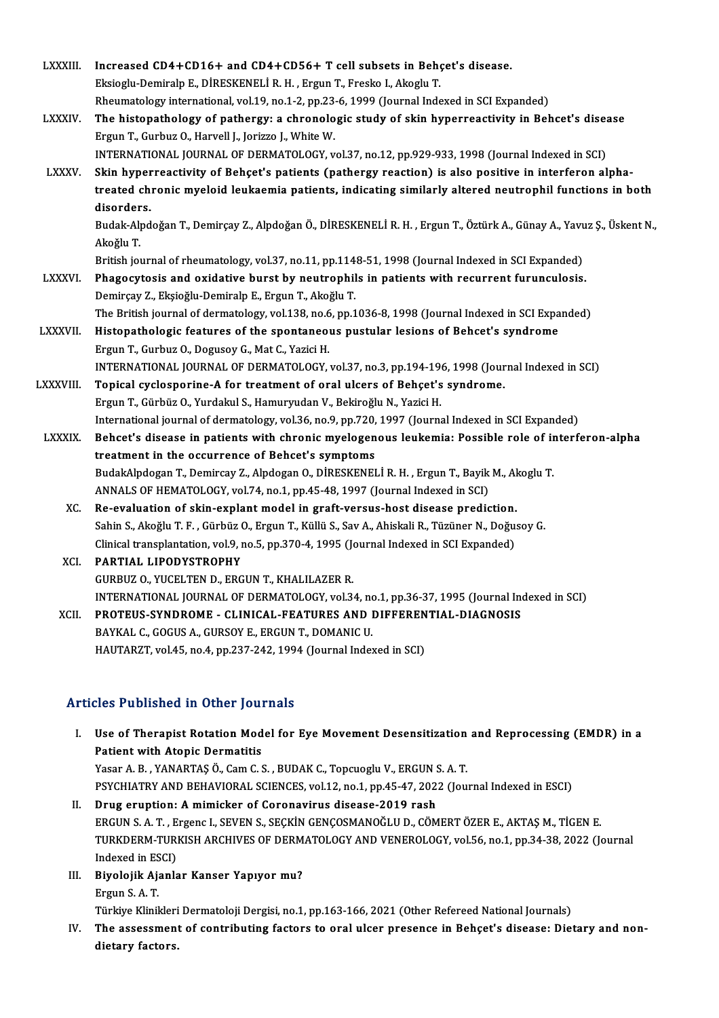| LXXXIII.       | Increased CD4+CD16+ and CD4+CD56+ T cell subsets in Behçet's disease.                                                            |
|----------------|----------------------------------------------------------------------------------------------------------------------------------|
|                | Eksioglu-Demiralp E., DİRESKENELİ R. H., Ergun T., Fresko I., Akoglu T.                                                          |
|                | Rheumatology international, vol.19, no.1-2, pp.23-6, 1999 (Journal Indexed in SCI Expanded)                                      |
| <b>LXXXIV.</b> | The histopathology of pathergy: a chronologic study of skin hyperreactivity in Behcet's disease                                  |
|                | Ergun T., Gurbuz O., Harvell J., Jorizzo J., White W.                                                                            |
|                | INTERNATIONAL JOURNAL OF DERMATOLOGY, vol.37, no.12, pp.929-933, 1998 (Journal Indexed in SCI)                                   |
| <b>LXXXV</b>   | Skin hyperreactivity of Behçet's patients (pathergy reaction) is also positive in interferon alpha-                              |
|                | treated chronic myeloid leukaemia patients, indicating similarly altered neutrophil functions in both                            |
|                | disorders.                                                                                                                       |
|                | Budak-Alpdoğan T., Demirçay Z., Alpdoğan Ö., DİRESKENELİ R. H., Ergun T., Öztürk A., Günay A., Yavuz Ş., Üskent N.,<br>Akoğlu T. |
|                | British journal of rheumatology, vol.37, no.11, pp.1148-51, 1998 (Journal Indexed in SCI Expanded)                               |
| <b>LXXXVI.</b> | Phagocytosis and oxidative burst by neutrophils in patients with recurrent furunculosis.                                         |
|                | Demirçay Z., Ekşioğlu-Demiralp E., Ergun T., Akoğlu T.                                                                           |
|                | The British journal of dermatology, vol.138, no.6, pp.1036-8, 1998 (Journal Indexed in SCI Expanded)                             |
| LXXXVII.       | Histopathologic features of the spontaneous pustular lesions of Behcet's syndrome                                                |
|                | Ergun T., Gurbuz O., Dogusoy G., Mat C., Yazici H.                                                                               |
|                | INTERNATIONAL JOURNAL OF DERMATOLOGY, vol.37, no.3, pp.194-196, 1998 (Journal Indexed in SCI)                                    |
| LXXXVIII.      | Topical cyclosporine-A for treatment of oral ulcers of Behçet's syndrome.                                                        |
|                | Ergun T., Gürbüz O., Yurdakul S., Hamuryudan V., Bekiroğlu N., Yazici H.                                                         |
|                | International journal of dermatology, vol.36, no.9, pp.720, 1997 (Journal Indexed in SCI Expanded)                               |
| LXXXIX.        | Behcet's disease in patients with chronic myelogenous leukemia: Possible role of interferon-alpha                                |
|                | treatment in the occurrence of Behcet's symptoms                                                                                 |
|                | BudakAlpdogan T., Demircay Z., Alpdogan O., DİRESKENELİ R. H., Ergun T., Bayik M., Akoglu T.                                     |
|                | ANNALS OF HEMATOLOGY, vol.74, no.1, pp.45-48, 1997 (Journal Indexed in SCI)                                                      |
| XC.            | Re-evaluation of skin-explant model in graft-versus-host disease prediction.                                                     |
|                | Sahin S., Akoğlu T. F., Gürbüz O., Ergun T., Küllü S., Sav A., Ahiskali R., Tüzüner N., Doğusoy G.                               |
|                | Clinical transplantation, vol.9, no.5, pp.370-4, 1995 (Journal Indexed in SCI Expanded)                                          |
| XCI.           | PARTIAL LIPODYSTROPHY                                                                                                            |
|                | GURBUZ O., YUCELTEN D., ERGUN T., KHALILAZER R.                                                                                  |
|                | INTERNATIONAL JOURNAL OF DERMATOLOGY, vol.34, no.1, pp.36-37, 1995 (Journal Indexed in SCI)                                      |
| XCII.          | PROTEUS-SYNDROME - CLINICAL-FEATURES AND DIFFERENTIAL-DIAGNOSIS                                                                  |
|                | BAYKAL C., GOGUS A., GURSOY E., ERGUN T., DOMANIC U.                                                                             |
|                | HAUTARZT, vol.45, no.4, pp.237-242, 1994 (Journal Indexed in SCI)                                                                |

## HAUTARZT, vol.45, no.4, pp.237-242, 1994 (Journa<br>Articles Published in Other Journals

rticles Published in Other Journals<br>I. Use of Therapist Rotation Model for Eye Movement Desensitization and Reprocessing (EMDR) in a<br>Retient with Atonis Dermetitis Mos Published in Schot Journal<br>Use of Therapist Rotation Mod<br>Patient with Atopic Dermatitis<br>Vasar A B VANAPTAS Ö Cam C ( Use of Therapist Rotation Model for Eye Movement Desensitization<br>Patient with Atopic Dermatitis<br>Yasar A. B., YANARTAŞ Ö., Cam C. S., BUDAK C., Topcuoglu V., ERGUN S. A. T.<br>PSYCHIATRY AND REHAVIORAL SCIENCES vol.12, no.1, n Patient with Atopic Dermatitis<br>Yasar A. B. , YANARTAŞ Ö., Cam C. S. , BUDAK C., Topcuoglu V., ERGUN S. A. T.<br>PSYCHIATRY AND BEHAVIORAL SCIENCES, vol.12, no.1, pp.45-47, 2022 (Journal Indexed in ESCI)<br>Prug eruntion: A mimie Yasar A. B., YANARTAŞ Ö., Cam C. S., BUDAK C., Topcuoglu V., ERGUN S.<br>PSYCHIATRY AND BEHAVIORAL SCIENCES, vol.12, no.1, pp.45-47, 202.<br>II. Drug eruption: A mimicker of Coronavirus disease-2019 rash<br>ERCUN S. A. T. EXSORAL S

- PSYCHIATRY AND BEHAVIORAL SCIENCES, vol.12, no.1, pp.45-47, 2022 (Journal Indexed in ESCI)<br>Drug eruption: A mimicker of Coronavirus disease-2019 rash<br>ERGUN S. A. T. , Ergenc I., SEVEN S., SEÇKİN GENÇOSMANOĞLU D., CÖMERT ÖZ Drug eruption: A mimicker of Coronavirus disease-2019 rash<br>ERGUN S. A. T. , Ergenc I., SEVEN S., SEÇKİN GENÇOSMANOĞLU D., CÖMERT ÖZER E., AKTAŞ M., TİGEN E.<br>TURKDERM-TURKISH ARCHIVES OF DERMATOLOGY AND VENEROLOGY, vol.56, ERGUN S. A. T. , E<br>TURKDERM-TURI<br>Indexed in ESCI)<br>Pivolojik Ajanla TURKDERM-TURKISH ARCHIVES OF DERM<br>Indexed in ESCI)<br>III. Biyolojik Ajanlar Kanser Yapıyor mu?
- Indexed in ESCI)<br>III. Biyolojik Ajanlar Kanser Yapıyor mu?<br>Ergun S.A.T.

Türkiye Klinikleri Dermatoloji Dergisi, no.1, pp.163-166, 2021 (Other Refereed National Journals)

Ergun S. A. T.<br>Türkiye Klinikleri Dermatoloji Dergisi, no.1, pp.163-166, 2021 (Other Refereed National Journals)<br>IV. The assessment of contributing factors to oral ulcer presence in Behçet's disease: Dietary and non-<br>di Türkiye Klinikleri<br>The assessmen<br>dietary factors.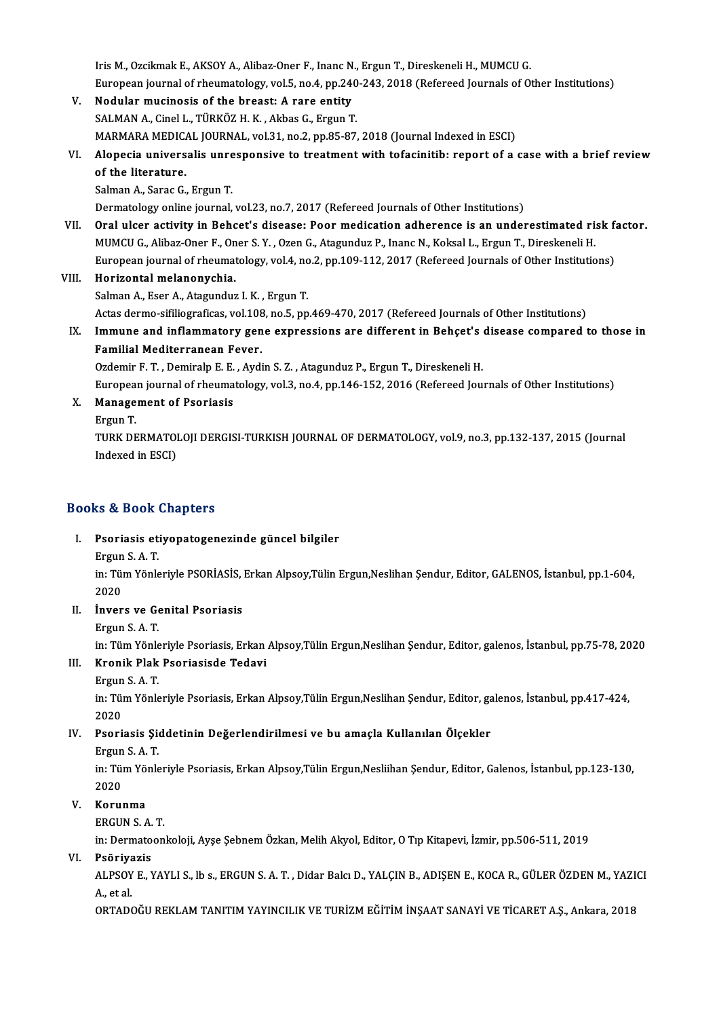IrisM.,OzcikmakE.,AKSOYA.,Alibaz-Oner F., InancN.,ErgunT.,DireskeneliH.,MUMCUG. Iris M., Ozcikmak E., AKSOY A., Alibaz-Oner F., Inanc N., Ergun T., Direskeneli H., MUMCU G.<br>European journal of rheumatology, vol.5, no.4, pp.240-243, 2018 (Refereed Journals of Other Institutions)<br>Nodular musinesis of th V. Nodular mucinosis of the breast: A rare entity European journal of rheumatology, vol.5, no.4, pp.240<br>Nodular mucinosis of the breast: A rare entity<br>SALMAN A., Cinel L., TÜRKÖZ H. K. , Akbas G., Ergun T.<br>MARMARA MEDICAL JOURNAL, vol.31, no.3, np.95, 97. Nodular mucinosis of the breast: A rare entity<br>SALMAN A., Cinel L., TÜRKÖZ H. K. , Akbas G., Ergun T.<br>MARMARA MEDICAL JOURNAL, vol.31, no.2, pp.85-87, 2018 (Journal Indexed in ESCI)<br>Alonesia universalis unresponsive to tre SALMAN A., Cinel L., TÜRKÖZ H. K. , Akbas G., Ergun T.<br>MARMARA MEDICAL JOURNAL, vol.31, no.2, pp.85-87, 2018 (Journal Indexed in ESCI)<br>VI. Alopecia universalis unresponsive to treatment with tofacinitib: report of a case w MARMARA MEDICA<br>Alopecia univers<br>of the literature. Alopecia universalis unre<br>of the literature.<br>Salman A., Sarac G., Ergun T.<br>Dermatelegy online journal. of the literature.<br>Salman A., Sarac G., Ergun T.<br>Dermatology online journal, vol.23, no.7, 2017 (Refereed Journals of Other Institutions) Salman A., Sarac G., Ergun T.<br>Dermatology online journal, vol.23, no.7, 2017 (Refereed Journals of Other Institutions)<br>VII. Oral ulcer activity in Behcet's disease: Poor medication adherence is an underestimated risk facto Dermatology online journal, vol.23, no.7, 2017 (Refereed Journals of Other Institutions)<br>Oral ulcer activity in Behcet's disease: Poor medication adherence is an underestimated ri:<br>MUMCU G., Alibaz-Oner F., Oner S. Y. , Oz Oral ulcer activity in Behcet's disease: Poor medication adherence is an underestimated risk fa<br>MUMCU G., Alibaz-Oner F., Oner S. Y. , Ozen G., Atagunduz P., Inanc N., Koksal L., Ergun T., Direskeneli H.<br>European journal o MUMCU G., Alibaz-Oner F., Oner S. Y. , Ozen G., Atagunduz P., Inanc N., Koksal L., Ergun T., Direskeneli H.<br>European journal of rheumatology, vol.4, no.2, pp.109-112, 2017 (Refereed Journals of Other Institutions)<br>VIII. Ho Salman A., Eser A., Atagunduz I. K., Ergun T. Horizo<mark>ntal melanonychia.</mark><br>Salman A., Eser A., Atagunduz I. K. , Ergun T.<br>Actas dermo-sifiliograficas, vol.108, no.5, pp.469-470, 2017 (Refereed Journals of Other Institutions)<br>Immune and inflammatery gene expressions are IX. Immune and inflammatory gene expressions are different in Behçet's disease compared to those in Actas dermo-sifiliograficas, vol.108<br>Immune and inflammatory gen<br>Familial Mediterranean Fever.<br>Ordemir E.T., Demireln E.E., Avdi Ozdemir F.T., Demiralp E.E., Aydin S.Z., Atagunduz P., Ergun T., Direskeneli H. Familial Mediterranean Fever.<br>Ozdemir F. T. , Demiralp E. E. , Aydin S. Z. , Atagunduz P., Ergun T., Direskeneli H.<br>European journal of rheumatology, vol.3, no.4, pp.146-152, 2016 (Refereed Journals of Other Institutions)<br> Europea<br><mark>Manage</mark><br>Ergun T.<br>TURK DE

X. Management of Psoriasis

Management of Psoriasis<br>Ergun T.<br>TURK DERMATOLOJI DERGISI-TURKISH JOURNAL OF DERMATOLOGY, vol.9, no.3, pp.132-137, 2015 (Journal<br>Indoved in ESCL) Ergun T.<br>TURK DERMATOI<br>Indexed in ESCI)

# Indexed in ESCI)<br>Books & Book Chapters

- ooks & Book Chapters<br>I. Psoriasis etiyopatogenezinde güncel bilgiler<br>Frgun S.A.T Ergun S. A. T.<br>Psoriasis et<br>Ergun S. A. T.<br>in: Tim Vänk
	-

Psoriasis etiyopatogenezinde güncel bilgiler<br>Ergun S. A. T.<br>in: Tüm Yönleriyle PSORİASİS, Erkan Alpsoy,Tülin Ergun,Neslihan Şendur, Editor, GALENOS, İstanbul, pp.1-604,<br>2020 Ergun<br>in: Tül<br>2020<br>İnver in: Tüm Yönleriyle PSORİASİS, 1<br>2020<br>II. **İnvers ve Genital Psoriasis**<br>Fraun S.A.T.

2020<br>**İnvers ve Ge<br>Ergun S. A. T.**<br>in: Tüm Vönle

İnvers ve Genital Psoriasis<br>Ergun S. A. T.<br>in: Tüm Yönleriyle Psoriasis, Erkan Alpsoy,Tülin Ergun,Neslihan Şendur, Editor, galenos, İstanbul, pp.75-78, 2020<br>Knonik Plak Psoriasisde Tedevi Ergun S. A. T.<br>in: Tüm Yönleriyle Psoriasis, Erkan<br>III. Kronik Plak Psoriasisde Tedavi

## in: Tüm Yönle<br><mark>Kronik Plak</mark><br>Ergun S. A. T.<br>in: Tüm Yönle

#### Ergun S.A.T.

in: Tüm Yönleriyle Psoriasis, Erkan Alpsoy,Tülin Ergun,Neslihan Şendur, Editor, galenos, İstanbul, pp.417-424,<br>2020 in: Tüm Yönleriyle Psoriasis, Erkan Alpsoy,Tülin Ergun,Neslihan Şendur, Editor, ga<br>2020<br>IV. Psoriasis Şiddetinin Değerlendirilmesi ve bu amaçla Kullanılan Ölçekler<br>Ergun S.A.T 2020<br>Psoriasis Şie<br>Ergun S. A. T.<br>in: Tüm Yönk

Psoriasis Şiddetinin Değerlendirilmesi ve bu amaçla Kullanılan Ölçekler<br>Ergun S. A. T.<br>in: Tüm Yönleriyle Psoriasis, Erkan Alpsoy,Tülin Ergun,Nesliihan Şendur, Editor, Galenos, İstanbul, pp.123-130,<br>2020 Ergun<br>in: Tül<br>2020<br>Korul

### V. Korunma

ERGUNS.A.T.

in:Dermatoonkoloji,Ayşe ŞebnemÖzkan,MelihAkyol,Editor,OTıpKitapevi, İzmir,pp.506-511,2019

#### VI. Psöriyazis

in: Dermatoonkoloji, Ayşe Şebnem Özkan, Melih Akyol, Editor, O Tıp Kitapevi, İzmir, pp.506-511, 2019<br><mark>Psöriyazis</mark><br>ALPSOY E., YAYLI S., lb s., ERGUN S. A. T. , Didar Balcı D., YALÇIN B., ADIŞEN E., KOCA R., GÜLER ÖZDEN M., P<mark>söriya</mark><br>ALPSOY<br>A., et al.<br>OPTADO

A., et al.<br>ORTADOĞU REKLAM TANITIM YAYINCILIK VE TURİZM EĞİTİM İNŞAAT SANAYİ VE TİCARET A.Ş., Ankara, 2018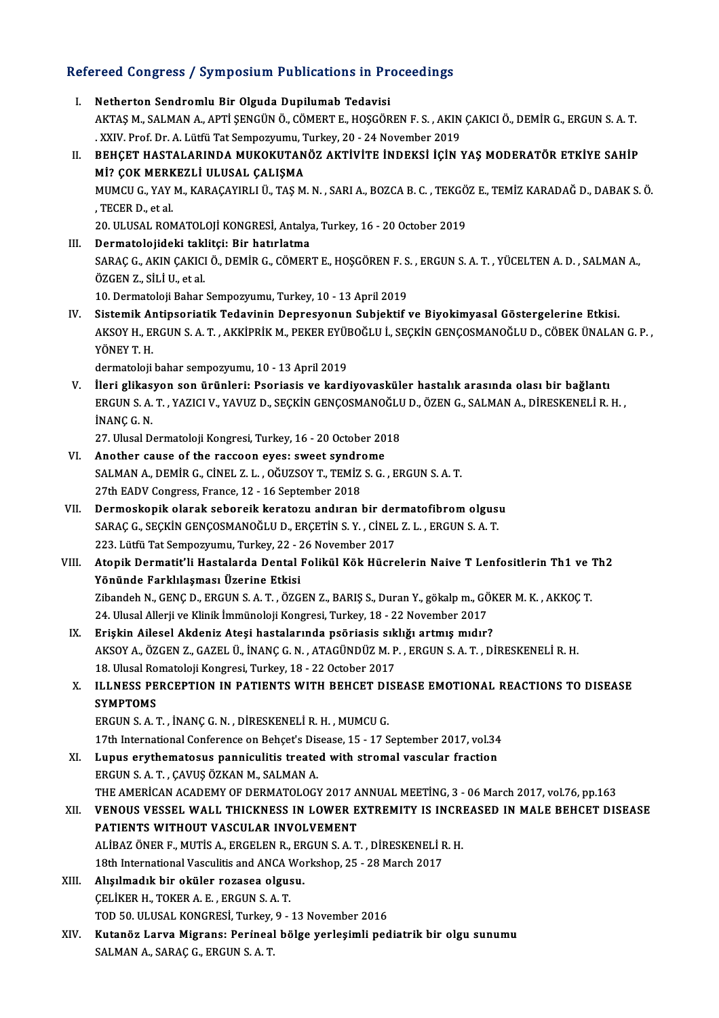# Refereed Congress / Symposium Publications in Proceedings<br>Refereed Congress / Symposium Publications in Proceedings

| Refereed Congress / Symposium Publications in Proceedings |                                                                                                                                                                                                                                           |  |
|-----------------------------------------------------------|-------------------------------------------------------------------------------------------------------------------------------------------------------------------------------------------------------------------------------------------|--|
| Ι.                                                        | Netherton Sendromlu Bir Olguda Dupilumab Tedavisi<br>AKTAŞ M., SALMAN A., APTİ ŞENGÜN Ö., CÖMERT E., HOŞGÖREN F. S., AKIN ÇAKICI Ö., DEMİR G., ERGUN S. A. T.<br>. XXIV. Prof. Dr. A. Lütfü Tat Sempozyumu, Turkey, 20 - 24 November 2019 |  |
| П.                                                        | BEHÇET HASTALARINDA MUKOKUTANÖZ AKTİVİTE İNDEKSİ İÇİN YAŞ MODERATÖR ETKİYE SAHİP<br>Mİ? ÇOK MERKEZLİ ULUSAL ÇALIŞMA                                                                                                                       |  |
|                                                           | MUMCU G., YAY M., KARAÇAYIRLI Ü., TAŞ M. N., SARI A., BOZCA B. C., TEKGÖZ E., TEMİZ KARADAĞ D., DABAK S. Ö.<br>, TECER D., et al.                                                                                                         |  |
| III.                                                      | 20. ULUSAL ROMATOLOJİ KONGRESİ, Antalya, Turkey, 16 - 20 October 2019<br>Dermatolojideki taklitçi: Bir hatırlatma                                                                                                                         |  |
|                                                           | SARAÇ G., AKIN ÇAKICI Ö., DEMİR G., CÖMERT E., HOŞGÖREN F. S., ERGUN S. A. T., YÜCELTEN A. D., SALMAN A.,<br>ÖZGEN Z., SİLİ U., et al.                                                                                                    |  |
|                                                           | 10. Dermatoloji Bahar Sempozyumu, Turkey, 10 - 13 April 2019                                                                                                                                                                              |  |
| IV.                                                       | Sistemik Antipsoriatik Tedavinin Depresyonun Subjektif ve Biyokimyasal Göstergelerine Etkisi.<br>AKSOY H., ERGUN S. A. T., AKKİPRİK M., PEKER EYÜBOĞLU İ., SEÇKİN GENÇOSMANOĞLU D., CÖBEK ÜNALAN G. P.,<br>YÖNEY T.H.                     |  |
|                                                           | dermatoloji bahar sempozyumu, 10 - 13 April 2019                                                                                                                                                                                          |  |
| V.                                                        | İleri glikasyon son ürünleri: Psoriasis ve kardiyovasküler hastalık arasında olası bir bağlantı<br>ERGUN S. A. T., YAZICI V., YAVUZ D., SEÇKİN GENÇOSMANOĞLU D., ÖZEN G., SALMAN A., DİRESKENELİ R. H.,<br>INANÇ G. N.                    |  |
|                                                           | 27. Ulusal Dermatoloji Kongresi, Turkey, 16 - 20 October 2018                                                                                                                                                                             |  |
| VI.                                                       | Another cause of the raccoon eyes: sweet syndrome                                                                                                                                                                                         |  |
|                                                           | SALMAN A., DEMIR G., CINEL Z. L., OĞUZSOY T., TEMIZ S. G., ERGUN S. A. T.                                                                                                                                                                 |  |
|                                                           | 27th EADV Congress, France, 12 - 16 September 2018                                                                                                                                                                                        |  |
| VII.                                                      | Dermoskopik olarak seboreik keratozu andıran bir dermatofibrom olgusu<br>SARAÇ G., SEÇKİN GENÇOSMANOĞLU D., ERÇETİN S. Y., CİNEL Z. L., ERGUN S. A. T.                                                                                    |  |
|                                                           | 223. Lütfü Tat Sempozyumu, Turkey, 22 - 26 November 2017                                                                                                                                                                                  |  |
| VIII.                                                     | Atopik Dermatit'li Hastalarda Dental Folikül Kök Hücrelerin Naive T Lenfositlerin Th1 ve Th2                                                                                                                                              |  |
|                                                           | Yönünde Farklılaşması Üzerine Etkisi                                                                                                                                                                                                      |  |
|                                                           | Zibandeh N., GENÇ D., ERGUN S. A. T., ÖZGEN Z., BARIŞ S., Duran Y., gökalp m., GÖKER M. K., AKKOÇ T.                                                                                                                                      |  |
|                                                           | 24. Ulusal Allerji ve Klinik İmmünoloji Kongresi, Turkey, 18 - 22 November 2017                                                                                                                                                           |  |
| IX.                                                       | Erişkin Ailesel Akdeniz Ateşi hastalarında psöriasis sıklığı artmış mıdır?                                                                                                                                                                |  |
|                                                           | AKSOY A., ÖZGEN Z., GAZEL Ü., İNANÇ G. N., ATAGÜNDÜZ M. P., ERGUN S. A. T., DİRESKENELİ R. H.                                                                                                                                             |  |
|                                                           | 18. Ulusal Romatoloji Kongresi, Turkey, 18 - 22 October 2017                                                                                                                                                                              |  |
| Х.                                                        | ILLNESS PERCEPTION IN PATIENTS WITH BEHCET DISEASE EMOTIONAL REACTIONS TO DISEASE<br><b>SYMPTOMS</b>                                                                                                                                      |  |
|                                                           | ERGUN S. A. T., İNANÇ G. N., DİRESKENELİ R. H., MUMCU G.                                                                                                                                                                                  |  |
|                                                           | 17th International Conference on Behçet's Disease, 15 - 17 September 2017, vol.34                                                                                                                                                         |  |
| XI.                                                       | Lupus erythematosus panniculitis treated with stromal vascular fraction<br>ERGUN S. A. T., ÇAVUŞ ÖZKAN M., SALMAN A.                                                                                                                      |  |
|                                                           | THE AMERICAN ACADEMY OF DERMATOLOGY 2017 ANNUAL MEETING, 3 - 06 March 2017, vol.76, pp.163                                                                                                                                                |  |
| XII.                                                      | VENOUS VESSEL WALL THICKNESS IN LOWER EXTREMITY IS INCREASED IN MALE BEHCET DISEASE                                                                                                                                                       |  |
|                                                           | PATIENTS WITHOUT VASCULAR INVOLVEMENT                                                                                                                                                                                                     |  |
|                                                           | ALİBAZ ÖNER F., MUTİS A., ERGELEN R., ERGUN S. A. T., DİRESKENELİ R. H.                                                                                                                                                                   |  |
|                                                           | 18th International Vasculitis and ANCA Workshop, 25 - 28 March 2017                                                                                                                                                                       |  |
| XIII.                                                     | Alışılmadık bir oküler rozasea olgusu.                                                                                                                                                                                                    |  |
|                                                           | CELIKER H., TOKER A. E., ERGUN S. A. T.<br>TOD 50. ULUSAL KONGRESİ, Turkey, 9 - 13 November 2016                                                                                                                                          |  |
| XIV.                                                      | Kutanöz Larva Migrans: Perineal bölge yerleşimli pediatrik bir olgu sunumu                                                                                                                                                                |  |
|                                                           | SALMAN A., SARAÇ G., ERGUN S. A. T.                                                                                                                                                                                                       |  |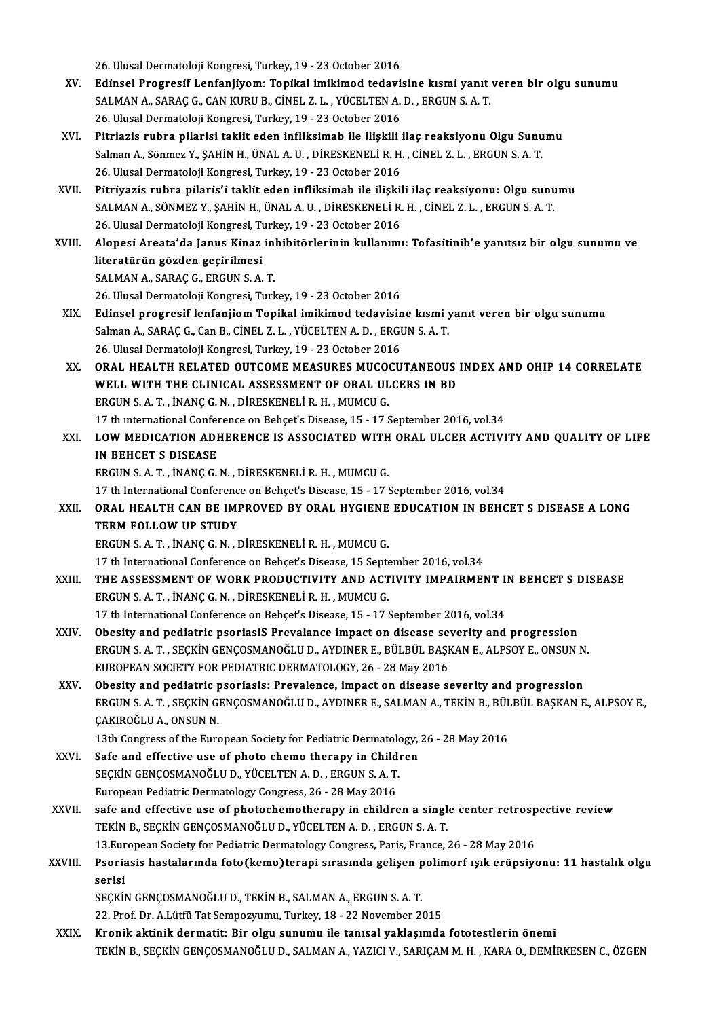26.UlusalDermatolojiKongresi,Turkey,19 -23October 2016

- XV. Edı̇nsel Progresı̇f Lenfanjı̇yom: Topı̇kal imikimod tedavisine kısmı̇yanıt veren bir olgu sunumu 26. Ulusal Dermatoloji Kongresi, Turkey, 19 - 23 October 2016<br>Edinsel Progresif Lenfanjiyom: Topikal imikimod tedavisine kısmi yanıt<br>SALMAN A., SARAÇ G., CAN KURU B., CİNEL Z. L. , YÜCELTEN A. D. , ERGUN S. A. T.<br>26 Hlusal Edinsel Progresif Lenfanjiyom: Topikal imikimod tedavi:<br>SALMAN A., SARAÇ G., CAN KURU B., CİNEL Z. L. , YÜCELTEN A.<br>26. Ulusal Dermatoloji Kongresi, Turkey, 19 - 23 October 2016<br>Bitajaria auhan aileajai teklit edea infliks
- 26. Ulusal Dermatoloji Kongresi, Turkey, 19 23 October 2016<br>XVI. Pitriazis rubra pilarisi taklit eden infliksimab ile ilişkili ilaç reaksiyonu Olgu Sunumu 26. Ulusal Dermatoloji Kongresi, Turkey, 19 - 23 October 2016<br>Pitriazis rubra pilarisi taklit eden infliksimab ile ilişkili ilaç reaksiyonu Olgu Sunu<br>Salman A., Sönmez Y., ŞAHİN H., ÜNAL A. U. , DİRESKENELİ R. H. , CİNEL Z Pitriazis rubra pilarisi taklit eden infliksimab ile ilişkili<br>Salman A., Sönmez Y., ŞAHİN H., ÜNAL A. U. , DİRESKENELİ R. H.<br>26. Ulusal Dermatoloji Kongresi, Turkey, 19 - 23 October 2016<br>Bitriyazis rubra pilaris'i taklit a Salman A., Sönmez Y., ŞAHİN H., ÜNAL A. U. , DİRESKENELİ R. H. , CİNEL Z. L. , ERGUN S. A. T.<br>26. Ulusal Dermatoloji Kongresi, Turkey, 19 - 23 October 2016<br>XVII. Pitriyazis rubra pilaris'i taklit eden infliksimab ile ilişk
- 26. Ulusal Dermatoloji Kongresi, Turkey, 19 23 October 2016<br>Pitriyazis rubra pilaris'i taklit eden infliksimab ile ilişkili ilaç reaksiyonu: Olgu sunumu<br>SALMAN A., SÖNMEZ Y., SAHİN H., ÜNAL A. U. , DİRESKENELİ R. H. , Cİ 26.UlusalDermatolojiKongresi,Turkey,19 -23October 2016 SALMAN A., SÖNMEZ Y., ŞAHİN H., ÜNAL A. U. , DİRESKENELİ R. H. , CİNEL Z. L. , ERGUN S. A. T.<br>26. Ulusal Dermatoloji Kongresi, Turkey, 19 - 23 October 2016<br>XVIII. Alopesi Areata'da Janus Kinaz inhibitörlerinin kullanım
- 26. Ulusal Dermatoloji Kongresi, Tu<br>Alopesi Areata'da Janus Kinaz<br>literatürün gözden geçirilmesi<br>SALMAN A. SARACC. ERCUN S.A Alopesi Areata'da Janus Kinaz in<br>literatürün gözden geçirilmesi<br>SALMAN A., SARAÇ G., ERGUN S. A. T.<br>26 Ulucal Dermataleji Kongresi Turl literatürün gözden geçirilmesi<br>26.UMAN A., SARAÇ G., ERGUN S. A. T.<br>26. Ulusal Dermatoloji Kongresi, Turkey, 19 - 23 October 2016
- XIX. Edinsel progresif lenfanjiomTopikal imikimod tedavisine kısmi yanıt veren bir olgu sunumu 26. Ulusal Dermatoloji Kongresi, Turkey, 19 - 23 October 2016<br>Edinsel progresif lenfanjiom Topikal imikimod tedavisine kısmi y<br>Salman A., SARAÇ G., Can B., CİNEL Z. L. , YÜCELTEN A. D. , ERGUN S. A. T.<br>26. Ulusal Dermatolo Edinsel progresif lenfanjiom Topikal imikimod tedavisin<br>Salman A., SARAÇ G., Can B., CİNEL Z. L. , YÜCELTEN A. D. , ERGI<br>26. Ulusal Dermatoloji Kongresi, Turkey, 19 - 23 October 2016<br>ORAL HEALTH RELATED OUTCOME MEASURES MU Salman A., SARAÇ G., Can B., CİNEL Z. L. , YÜCELTEN A. D. , ERGUN S. A. T.<br>26. Ulusal Dermatoloji Kongresi, Turkey, 19 - 23 October 2016<br>XX. ORAL HEALTH RELATED OUTCOME MEASURES MUCOCUTANEOUS INDEX AND OHIP 14 CORRELAT
- 26. Ulusal Dermatoloji Kongresi, Turkey, 19 23 October 2016<br>ORAL HEALTH RELATED OUTCOME MEASURES MUCOCUTANEOUS<br>WELL WITH THE CLINICAL ASSESSMENT OF ORAL ULCERS IN BD<br>ERCUN S.A.T., INANG G.N., DIRESSMENT IR H. MUMCU C WELL WITH THE CLINICAL ASSESSMENT OF ORAL ULCERS IN BD ERGUN S. A. T., İNANÇ G. N., DİRESKENELİ R. H., MUMCU G. WELL WITH THE CLINICAL ASSESSMENT OF ORAL ULCERS IN BD<br>ERGUN S. A. T., İNANÇ G. N., DİRESKENELİ R. H., MUMCU G.<br>17 th international Conference on Behçet's Disease, 15 - 17 September 2016, vol.34<br>1 QW MEDICATION ADHEBENCE I
- XXI. LOW MEDICATION ADHERENCE IS ASSOCIATED WITH ORAL ULCER ACTIVITY AND QUALITY OF LIFE<br>IN BEHCET S DISEASE 17 th international Confer<br>LOW MEDICATION ADE<br>IN BEHCET S DISEASE ERGUNS.A.T. , İNANÇG.N. ,DİRESKENELİR.H. ,MUMCUG.
	- 17 th International Conference on Behçet's Disease, 15 17 September 2016, vol.34
- ERGUN S. A. T. , İNANÇ G. N. , DİRESKENELİ R. H. , MUMCU G.<br>17 th International Conference on Behçet's Disease, 15 17 September 2016, vol.34<br>XXII. ORAL HEALTH CAN BE IMPROVED BY ORAL HYGIENE EDUCATION IN BEHCET S DIS 17 th International Conference<br>ORAL HEALTH CAN BE IMITERM FOLLOW UP STUDY ORAL HEALTH CAN BE IMPROVED BY ORAL HYGIENE<br>TERM FOLLOW UP STUDY<br>ERGUN S. A. T. , İNANÇ G. N. , DİRESKENELİ R. H. , MUMCU G.<br>17 th International Conference on Bebest'e Disease, 15 Senta TERM FOLLOW UP STUDY<br>ERGUN S. A. T. , İNANÇ G. N. , DİRESKENELİ R. H. , MUMCU G.<br>17 th International Conference on Behçet's Disease, 15 September 2016, vol.34<br>THE ASSESSMENT OF WORK PRODUCTIVITY AND ACTIVITY IMPAIRMEI

ERGUN S. A. T. , İNANÇ G. N. , DİRESKENELİ R. H. , MUMCU G.<br>17 th International Conference on Behçet's Disease, 15 September 2016, vol.34<br>XXIII. THE ASSESSMENT OF WORK PRODUCTIVITY AND ACTIVITY IMPAIRMENT IN BEHCET S D 17 th International Conference on Behçet's Disease, 15 September 15 September 2016<br>THE ASSESSMENT OF WORK PRODUCTIVITY AND ACT<br>ERGUN S. A. T. , İNANÇ G. N. , DİRESKENELİR. H. , MUMCU G. ERGUN S. A. T., İNANÇ G. N., DİRESKENELİ R. H., MUMCU G.<br>17 th International Conference on Behçet's Disease, 15 - 17 September 2016, vol.34<br>XXIV. Obesity and pediatric psoriasiS Prevalance impact on disease severity and pr

17 th International Conference on Behçet's Disease, 15 - 17 September 2016, vol.34

- 17 th International Conference on Behçet's Disease, 15 17 September 2016, vol.34<br>Obesity and pediatric psoriasiS Prevalance impact on disease severity and progression<br>ERGUN S. A. T. , SEÇKİN GENÇOSMANOĞLU D., AYDINER E., Obesity and pediatric psoriasiS Prevalance impact on disease se<br>ERGUN S. A. T. , SEÇKİN GENÇOSMANOĞLU D., AYDINER E., BÜLBÜL BAŞI<br>EUROPEAN SOCIETY FOR PEDIATRIC DERMATOLOGY, 26 - 28 May 2016<br>Obesity and pediatric psoriasis ERGUN S. A. T. , SEÇKİN GENÇOSMANOĞLU D., AYDINER E., BÜLBÜL BAŞKAN E., ALPSOY E., ONSUN N.<br>EUROPEAN SOCIETY FOR PEDIATRIC DERMATOLOGY, 26 - 28 May 2016<br>XXV. Obesity and pediatric psoriasis: Prevalence. impact on disea
- EUROPEAN SOCIETY FOR PEDIATRIC DERMATOLOGY, 26 28 May 2016<br>Obesity and pediatric psoriasis: Prevalence, impact on disease severity and progression<br>ERGUN S. A. T. , SEÇKİN GENÇOSMANOĞLU D., AYDINER E., SALMAN A., TEKİN B. Obesity and pediatric psoriasis: Prevalence, impact on disease severity and progression ERGUN S. A. T., SEÇKİN GENÇOSMANOĞLU D., AYDINER E., SALMAN A., TEKİN B., BÜLBÜL BAŞKAN I ÇAKIROĞLU A., ONSUN N. ERGUN S. A. T. , SEÇKİN GENÇOSMANOĞLU D., AYDINER E., SALMAN A., TEKİN B., BÜL<br>ÇAKIROĞLU A., ONSUN N.<br>13th Congress of the European Society for Pediatric Dermatology, 26 - 28 May 2016<br>Safa and affective use of phata shama

13th Congress of the European Society for Pediatric Dermatology, 26 - 28 May 2016<br>XXVI. Safe and effective use of photo chemo therapy in Children

- 13th Congress of the European Society for Pediatric Dermatology<br>Safe and effective use of photo chemo therapy in Child:<br>SEÇKİN GENÇOSMANOĞLU D., YÜCELTEN A. D., ERGUN S. A. T. Safe and effective use of photo chemo therapy in Child<br>SEÇKİN GENÇOSMANOĞLU D., YÜCELTEN A. D. , ERGUN S. A. T.<br>European Pediatric Dermatology Congress, 26 - 28 May 2016<br>safe and effective use of photoshemotherapy in child
- SEÇKİN GENÇOSMANOĞLU D., YÜCELTEN A. D., ERGUN S. A. T.<br>European Pediatric Dermatology Congress, 26 28 May 2016<br>XXVII. Safe and effective use of photochemotherapy in children a single center retrospective review<br>TEVIN B. European Pediatric Dermatology Congress, 26 - 28 May 2016<br>safe and effective use of photochemotherapy in children a singl<br>TEKİN B., SEÇKİN GENÇOSMANOĞLU D., YÜCELTEN A. D. , ERGUN S. A. T.<br>12 European Society for Pediatric safe and effective use of photochemotherapy in children a single center retrosp<br>TEKİN B., SEÇKİN GENÇOSMANOĞLU D., YÜCELTEN A. D. , ERGUN S. A. T.<br>13.European Society for Pediatric Dermatology Congress, Paris, France, 26 -13. European Society for Pediatric Dermatology Congress, Paris, France, 26 - 28 May 2016
- TEKİN B., SEÇKİN GENÇOSMANOĞLU D., YÜCELTEN A. D. , ERGUN S. A. T.<br>13.European Society for Pediatric Dermatology Congress, Paris, France, 26 28 May 2016<br>XXVIII. Psoriasis hastalarında foto(kemo)terapi sırasında geliş Psoriasis hastalarında foto(kemo)terapi sırasında gelişen p<br>serisi<br>SEÇKİN GENÇOSMANOĞLU D., TEKİN B., SALMAN A., ERGUN S. A. T.<br>22. Prof. Dr. A.Lütfü Tet Semnezuumu, Turkey, 19., 22 Nevember 2 serisi<br>SEÇKİN GENÇOSMANOĞLU D., TEKİN B., SALMAN A., ERGUN S. A. T.<br>22. Prof. Dr. A.Lütfü Tat Sempozyumu, Turkey, 18 - 22 November 2015<br>Knonik aktinik denmetit. Bir olgu sunumu ile tanısal vaklasımda

XXIX. Kronik aktinik dermatit: Bir olgu sunumu ile tanısal yaklaşımda fototestlerin önemi TEKİN B., SEÇKİN GENÇOSMANOĞLU D., SALMAN A., YAZICI V., SARIÇAM M. H., KARA O., DEMİRKESEN C., ÖZGEN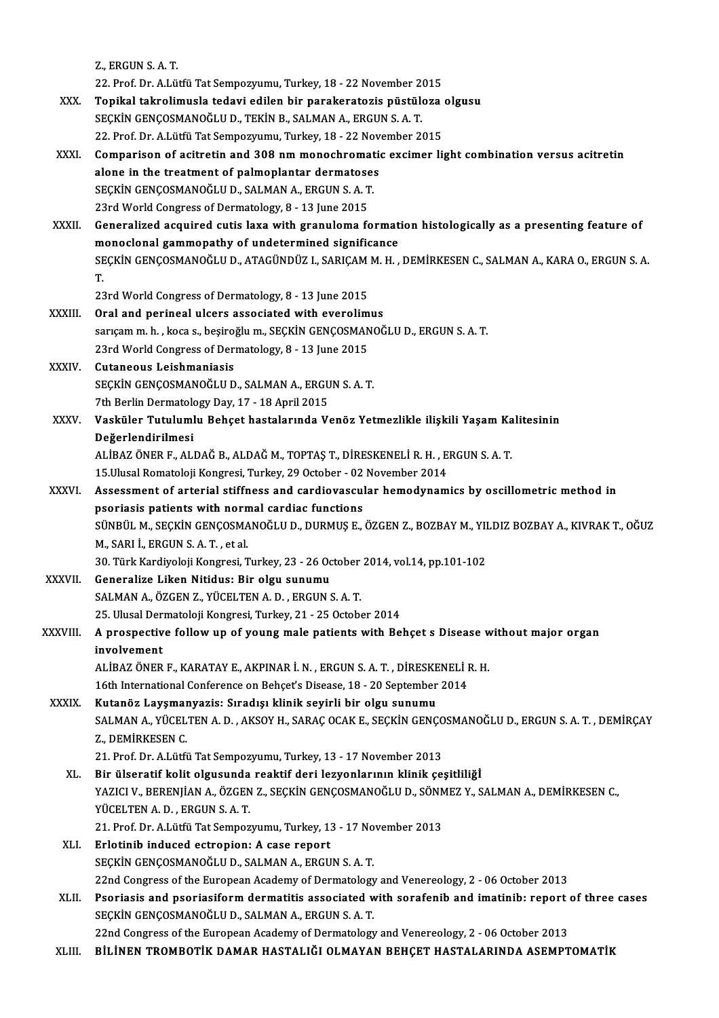Z. ERGUNS AT.

22. Prof. Dr. A.Lütfü Tat Sempozyumu, Turkey, 18 - 22 November 2015

- Z., ERGUN S. A. T.<br>22. Prof. Dr. A.Lütfü Tat Sempozyumu, Turkey, 18 22 November 2015<br>XXX. Topikal takrolimusla tedavi edilen bir parakeratozis püstüloza olgusu<br>SECKIN S A T 22. Prof. Dr. A.Lütfü Tat Sempozyumu, Turkey, 18 - 22 November 2<br>Topikal takrolimusla tedavi edilen bir parakeratozis püstüle<br>SEÇKİN GENÇOSMANOĞLU D., TEKİN B., SALMAN A., ERGUN S. A. T.<br>22. Prof. Dr. A Lütfü Tat Sempozuum Topikal takrolimusla tedavi edilen bir parakeratozis püstüloza<br>SEÇKİN GENÇOSMANOĞLU D., TEKİN B., SALMAN A., ERGUN S. A. T.<br>22. Prof. Dr. A.Lütfü Tat Sempozyumu, Turkey, 18 - 22 November 2015<br>Comparison of asitratin and 30 SEÇKİN GENÇOSMANOĞLU D., TEKİN B., SALMAN A., ERGUN S. A. T.<br>22. Prof. Dr. A.Lütfü Tat Sempozyumu, Turkey, 18 - 22 November 2015<br>XXXI. Comparison of acitretin and 308 nm monochromatic excimer light combination versus a
- 22. Prof. Dr. A.Lütfü Tat Sempozyumu, Turkey, 18 22 November 2015<br>Comparison of acitretin and 308 nm monochromatic excimer li<br>alone in the treatment of palmoplantar dermatoses<br>SECKIN GENCOSMANOĞLU D., SALMAN A., ERGUN S. Comparison of acitretin and 308 nm monochromat<br>alone in the treatment of palmoplantar dermatose:<br>SEÇKİN GENÇOSMANOĞLU D., SALMAN A., ERGUN S. A. T.<br>22rd World Congress of Dermatology, 8, 12 lune 2015 alone in the treatment of palmoplantar dermatose<br>SEÇKİN GENÇOSMANOĞLU D., SALMAN A., ERGUN S. A. T<br>23rd World Congress of Dermatology, 8 - 13 June 2015 SEÇKİN GENÇOSMANOĞLU D., SALMAN A., ERGUN S. A. T.<br>23rd World Congress of Dermatology, 8 - 13 June 2015<br>XXXII. Generalized acquired cutis laxa with granuloma formation histologically as a presenting feature of<br>managlan
- 23rd World Congress of Dermatology, 8 13 June 2015<br>Generalized acquired cutis laxa with granuloma format<br>monoclonal gammopathy of undetermined significance<br>SECKIN CENCOSMANOČLU D. ATACÜNDÜZ L. SABICAM M. H Generalized acquired cutis laxa with granuloma formation histologically as a presenting feature of<br>monoclonal gammopathy of undetermined significance<br>SEÇKİN GENÇOSMANOĞLU D., ATAGÜNDÜZ I., SARIÇAM M. H. , DEMİRKESEN C., SA m<br>SE<br>T. SEÇKİN GENÇOSMANOĞLU D., ATAGÜNDÜZ I., SARIÇAM M. H. , DEMİRKESEN C., SALMAN A., KARA O., ERGUN S. A.<br>T.<br>23rd World Congress of Dermatology, 8 - 13 June 2015

- T.<br>23rd World Congress of Dermatology, 8 13 June 2015<br>XXXIII. Oral and perineal ulcers associated with everolimus sarıçam m. h. , koca s., beşiroğlu m., SEÇKİN GENÇOSMANOĞLU D., ERGUN S. A. T.<br>23rd World Congress of Dermatology, 8 - 13 June 2015 Oral and perineal ulcers associated with everolim<br>sarıçam m. h. , koca s., beşiroğlu m., SEÇKİN GENÇOSMAN<br>23rd World Congress of Dermatology, 8 - 13 June 2015<br>Sutaneous Leishmaniasis
- XXXIV. Cutaneous Leishmaniasis SEÇKİN GENÇOSMANOĞLU D., SALMAN A., ERGUN S. A. T. Cutaneous Leishmaniasis<br>SEÇKİN GENÇOSMANOĞLU D., SALMAN A., ERGU<br>7th Berlin Dermatology Day, 17 - 18 April 2015<br>Vesküler Tutulumlu Behest bastalarında V.
- XXXV. Vasküler Tutulumlu Behçet hastalarında Venöz Yetmezlikle ilişkili Yaşam Kalitesinin<br>Değerlendirilmesi 7th Berlin Dermatolo<br>Vasküler Tutuluml<br>Değerlendirilmesi<br>ALİPAZÖNER E. ALI Vasküler Tutulumlu Behçet hastalarında Venöz Yetmezlikle ilişkili Yaşam Ka<br>Değerlendirilmesi<br>ALİBAZ ÖNER F., ALDAĞ B., ALDAĞ M., TOPTAŞ T., DİRESKENELİ R. H. , ERGUN S. A. T.<br>15 Ulusal Bamatalaji Kangresi Turkay 29 Ostabar De<mark>ğerlendirilmesi</mark><br>ALİBAZ ÖNER F., ALDAĞ B., ALDAĞ M., TOPTAŞ T., DİRESKENELİ R. H. , E<br>15.Ulusal Romatoloji Kongresi, Turkey, 29 October - 02 November 2014<br>Assessment of arterial stiffness and sardiausssular bemedunam

15 Ulusal Romatoloji Kongresi, Turkey, 29 October - 02 November 2014

- XXXVI. Assessment of arterial stiffness and cardiovascular hemodynamics by oscillometric method in SÜNBÜL M., SEÇKİN GENÇOSMANOĞLU D., DURMUŞ E., ÖZGEN Z., BOZBAY M., YILDIZ BOZBAY A., KIVRAK T., OĞUZ<br>M., SARI İ., ERGUN S. A. T. , et al. psoriasis patients with normal cardiac functions SÜNBÜL M., SEÇKİN GENÇOSMANOĞLU D., DURMUŞ E., ÖZGEN Z., BOZBAY M., YII<br>M., SARI İ., ERGUN S. A. T. , et al.<br>30. Türk Kardiyoloji Kongresi, Turkey, 23 - 26 October 2014, vol.14, pp.101-102<br>Conoralize Liken Nitidue: Bir ola
- XXXVII. Generalize Liken Nitidus: Bir olgu sunumu<br>SALMAN A., ÖZGEN Z., YÜCELTEN A. D., ERGUN S. A. T. 30. Türk Kardiyoloji Kongresi, Turkey, 23 - 26 October<br>Generalize Liken Nitidus: Bir olgu sunumu<br>SALMAN A., ÖZGEN Z., YÜCELTEN A. D. , ERGUN S. A. T.<br>25. Ulusel Dermatalaji Kongresi, Turkey, 21., 25 Ostabe 25. Ulusal Dermatoloji Kongresi, Turkey, 21 - 25 October 2014
- SALMAN A., ÖZGEN Z., YÜCELTEN A. D. , ERGUN S. A. T.<br>25. Ulusal Dermatoloji Kongresi, Turkey, 21 25 October 2014<br>XXXVIII. A prospective follow up of young male patients with Behçet s Disease without major organ<br>invol 25. Ulusal Der<br>A prospectiv<br>involvement<br>ALIPAZ ÖNER A prospective follow up of young male patients with Behçet s Disease w<br>involvement<br>ALİBAZ ÖNER F., KARATAY E., AKPINAR İ. N. , ERGUN S. A. T. , DİRESKENELİ R. H.<br>16th International Conference en Behest's Disease 19 – 20 Se involvement<br>ALİBAZ ÖNER F., KARATAY E., AKPINAR İ. N. , ERGUN S. A. T. , DİRESKENELİ I<br>16th International Conference on Behçet's Disease, 18 - 20 September 2014<br>Kutanên Lausmanyaria: Sıradısı klinik sevinli bir alsu sunumu

ALİBAZ ÖNER F., KARATAY E., AKPINAR İ. N., ERGUN S. A. T., DİRESKE<br>16th International Conference on Behçet's Disease, 18 - 20 September<br>XXXIX. Kutanöz Layşmanyazis: Sıradışı klinik seyirli bir olgu sunumu<br>SALMAN A VÜCELTEN 16th International Conference on Behçet's Disease, 18 - 20 September 2014<br>Kutanöz Layşmanyazis: Sıradışı klinik seyirli bir olgu sunumu<br>SALMAN A., YÜCELTEN A. D. , AKSOY H., SARAÇ OCAK E., SEÇKİN GENÇOSMANOĞLU D., ERGUN S. Kutanöz Layşmar<br>SALMAN A., YÜCEL<br>Z., DEMİRKESEN C.<br>21. Prof. Dr. A Lütfi SALMAN A., YÜCELTEN A. D. , AKSOY H., SARAÇ OCAK E., SEÇKİN GENÇO<br>Z., DEMİRKESEN C.<br>21. Prof. Dr. A.Lütfü Tat Sempozyumu, Turkey, 13 - 17 November 2013<br>Bir ülsenetif kelit eleveyede reaktif deri legyenlerinin klinik se

- X., DEMİRKESEN C.<br>21. Prof. Dr. A.Lütfü Tat Sempozyumu, Turkey, 13 17 November 2013<br>XL. Bir ülseratif kolit olgusunda reaktif deri lezyonlarının klinik çeşitliliğİ<br>XAZICLV. PERENLIAN A. ÖZCEN Z. SECKİN CENCOSMANOČLU D. S 21. Prof. Dr. A.Lütfü Tat Sempozyumu, Turkey, 13 - 17 November 2013<br>Bir ülseratif kolit olgusunda reaktif deri lezyonlarının klinik çeşitliliğİ<br>YAZICI V., BERENJİAN A., ÖZGEN Z., SEÇKİN GENÇOSMANOĞLU D., SÖNMEZ Y., SALMAN Bir ülseratif kolit olgusunda<br>YAZICI V., BERENJİAN A., ÖZGEN<br>YÜCELTEN A. D. , ERGUN S. A. T.<br>21. Prof. Dr. A Lütfü Tat Semner YAZICI V., BERENJİAN A., ÖZGEN Z., SEÇKİN GENÇOSMANOĞLU D., SÖNN<br>YÜCELTEN A. D. , ERGUN S. A. T.<br>21. Prof. Dr. A.Lütfü Tat Sempozyumu, Turkey, 13 - 17 November 2013<br>Erletinih indused estrenien: A sese renert
- YÜCELTEN A. D., ERGUN S. A. T.<br>21. Prof. Dr. A.Lütfü Tat Sempozyumu, Turkey, 13<br>XLI. Brlotinib induced ectropion: A case report<br>SECKIN CENCOSMANOČLU D. SALMAN A. ERGU 21. Prof. Dr. A.Lütfü Tat Sempozyumu, Turkey, 13 - 17 No<br>Erlotinib induced ectropion: A case report<br>SEÇKİN GENÇOSMANOĞLU D., SALMAN A., ERGUN S. A. T. 22nd Congress of the Europion: A case report<br>22nd Congress of the European Academy of Dermatology and Venereology, 2 - 06 October 2013 SEÇKİN GENÇOSMANOĞLU D., SALMAN A., ERGUN S. A. T.<br>22nd Congress of the European Academy of Dermatology and Venereology, 2 - 06 October 2013<br>XLII. Psoriasis and psoriasiform dermatitis associated with sorafenib and imatini
- 22nd Congress of the European Academy of Dermatology<br>Psoriasis and psoriasiform dermatitis associated w<br>SEÇKİN GENÇOSMANOĞLU D., SALMAN A., ERGUN S. A. T. Psoriasis and psoriasiform dermatitis associated with sorafenib and imatinib: report (<br>SEÇKİN GENÇOSMANOĞLU D., SALMAN A., ERGUN S. A. T.<br>22nd Congress of the European Academy of Dermatology and Venereology, 2 - 06 October SEÇKİN GENÇOSMANOĞLU D., SALMAN A., ERGUN S. A. T.<br>22nd Congress of the European Academy of Dermatology and Venereology, 2 - 06 October 2013<br>XLIII. BİLİNEN TROMBOTİK DAMAR HASTALIĞI OLMAYAN BEHÇET HASTALARINDA ASEMPTOM